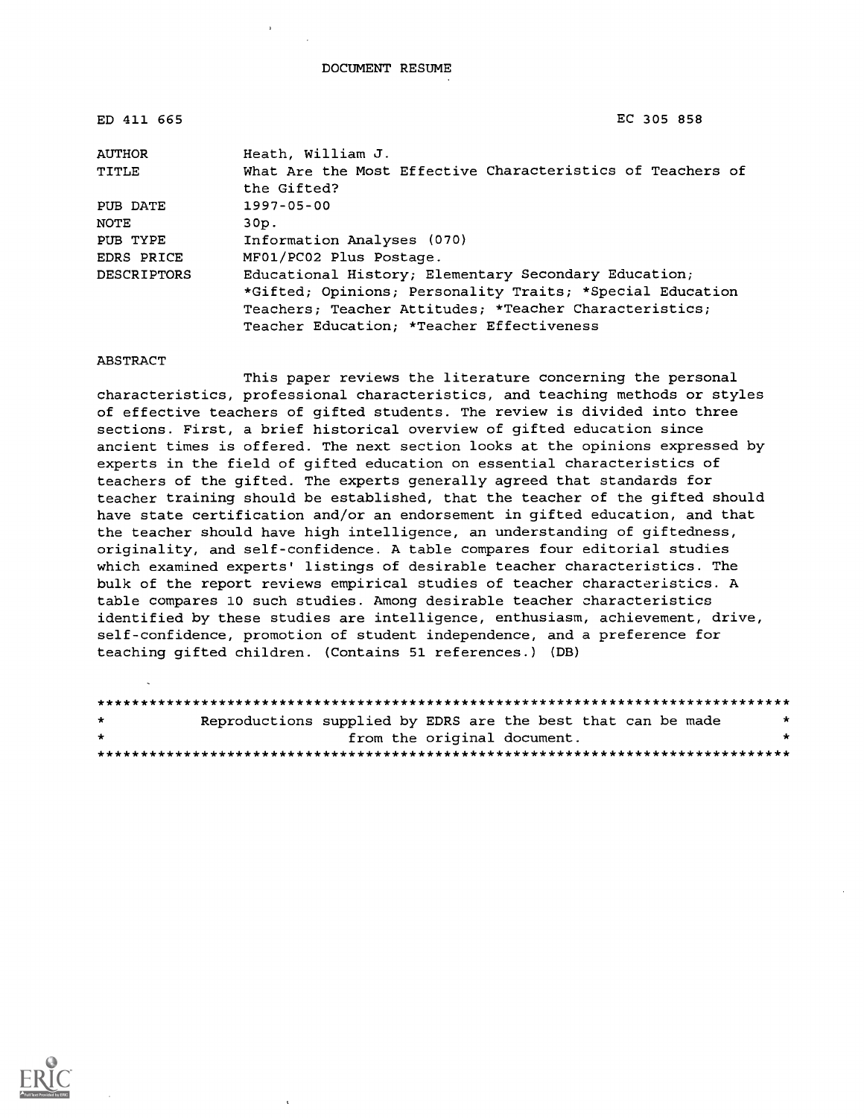| ED 411 665    | EC 305 858                                                                |
|---------------|---------------------------------------------------------------------------|
| <b>AUTHOR</b> | Heath, William J.                                                         |
| TITLE         | What Are the Most Effective Characteristics of Teachers of<br>the Gifted? |
| PUB DATE      | $1997 - 05 - 00$                                                          |
| NOTE          | 30p.                                                                      |
| PUB TYPE      | Information Analyses (070)                                                |
| EDRS PRICE    | MF01/PC02 Plus Postage.                                                   |
| DESCRIPTORS   | Educational History; Elementary Secondary Education;                      |
|               | *Gifted; Opinions; Personality Traits; *Special Education                 |
|               | Teachers; Teacher Attitudes; *Teacher Characteristics;                    |
|               | Teacher Education; *Teacher Effectiveness                                 |

ABSTRACT

This paper reviews the literature concerning the personal characteristics, professional characteristics, and teaching methods or styles of effective teachers of gifted students. The review is divided into three sections. First, a brief historical overview of gifted education since ancient times is offered. The next section looks at the opinions expressed by experts in the field of gifted education on essential characteristics of teachers of the gifted. The experts generally agreed that standards for teacher training should be established, that the teacher of the gifted should have state certification and/or an endorsement in gifted education, and that the teacher should have high intelligence, an understanding of giftedness, originality, and self-confidence. A table compares four editorial studies which examined experts' listings of desirable teacher characteristics. The bulk of the report reviews empirical studies of teacher characteristics. A table compares 10 such studies. Among desirable teacher characteristics identified by these studies are intelligence, enthusiasm, achievement, drive, self-confidence, promotion of student independence, and a preference for teaching gifted children. (Contains 51 references.) (DB)

| $\star$ | Reproductions supplied by EDRS are the best that can be made | * |
|---------|--------------------------------------------------------------|---|
| $\star$ | from the original document.                                  | * |
|         |                                                              |   |

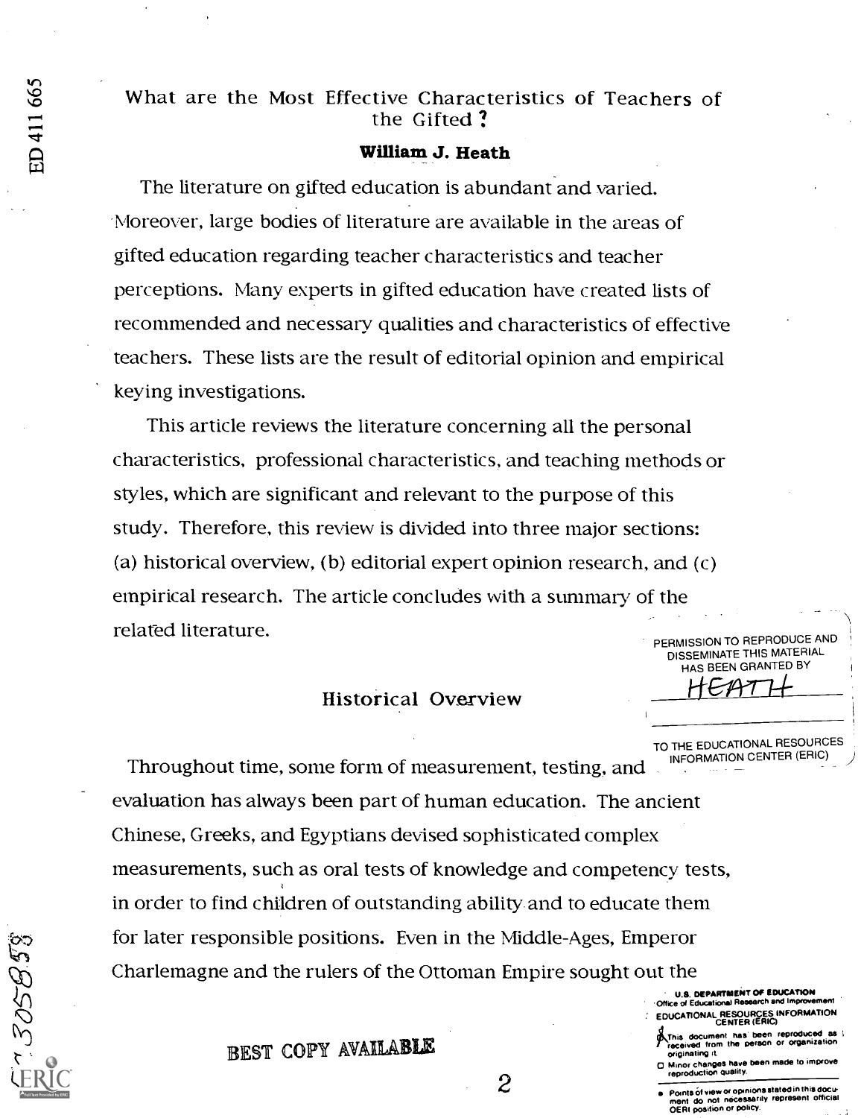### What are the Most Effective Characteristics of Teachers of the Gifted ?

#### William J. Heath

The literature on gifted education is abundant and varied. 'Moreover, large bodies of literature are available in the areas of gifted education regarding teacher characteristics and teacher perceptions. Many experts in gifted education have created lists of recommended and necessary qualities and characteristics of effective teachers. These lists are the result of editorial opinion and empirical keying investigations.

This article reviews the literature concerning all the personal characteristics, professional characteristics, and teaching methods or styles, which are significant and relevant to the purpose of this study. Therefore, this review is divided into three major sections: (a) historical overview, (b) editorial expert opinion research, and (c) empirical research. The article concludes with a summary of the related literature. PERMISSION TO REPRODUCE AND

#### Historical Overview

TO THE EDUCATIONAL RESOURCES<br>INFORMATION CENTER (ERIC)

DISSEMINATE THIS MATERIAL HAS BEEN GRANTED BY

Throughout time, some form of measurement, testing, and evaluation has always been part of human education. The ancient Chinese, Greeks, and Egyptians devised sophisticated complex measurements, such as oral tests of knowledge and competency tests, in order to find children of outstanding ability and to educate them for later responsible positions. Even in the Middle-Ages, Emperor Charlemagne and the rulers of the Ottoman Empire sought out the

U.S. DEPARTMENT OF EDUCATION

- **Educational Res** EDUCATIONAL RESOURCES INFORMATION CENTER (ERIC)
- This document has been reproduced as<br>received from the person or organization
- originating it a Minor changes have been made to improve reproduction Quality.
- Points Of yew or opinions stated in this docu- ment do not necessarily represent official OERI position or policy.

 $\sim$   $\sim$ 

 $\overline{\phantom{a}}$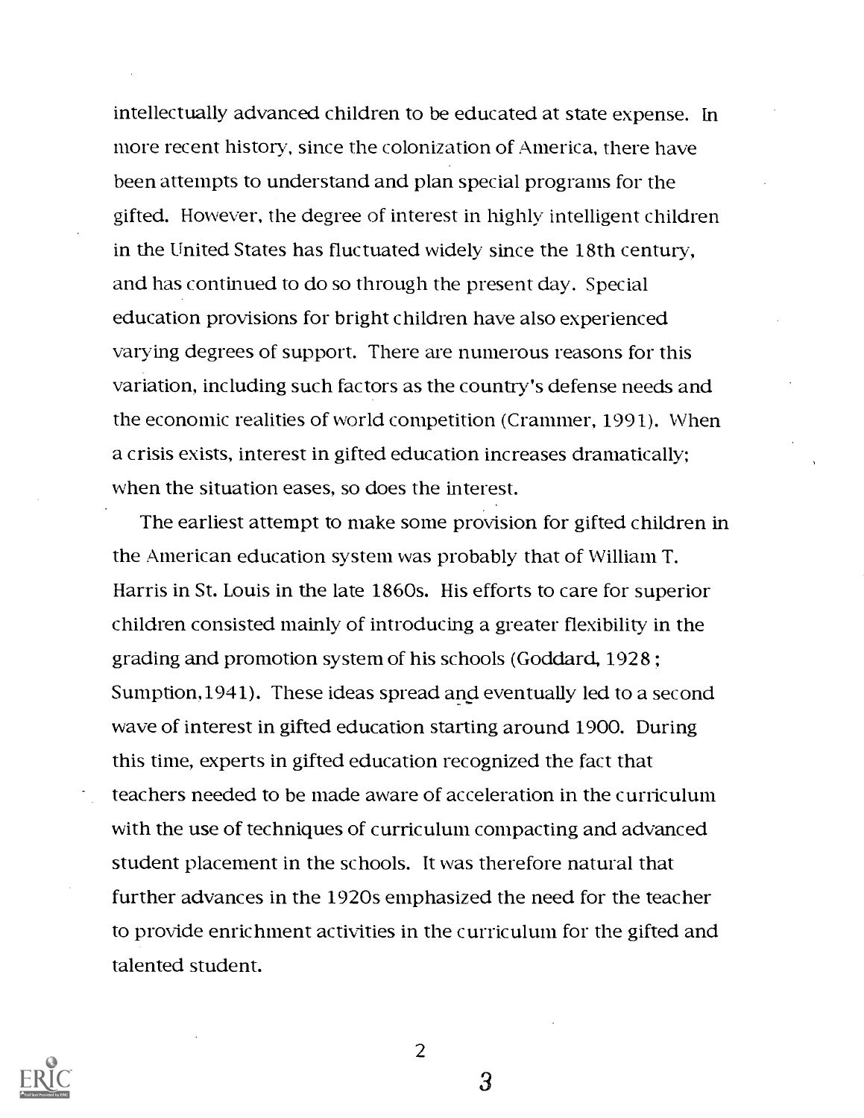intellectually advanced children to be educated at state expense. In more recent history, since the colonization of America, there have been attempts to understand and plan special programs for the gifted. However, the degree of interest in highly intelligent children in the United States has fluctuated widely since the 18th century, and has continued to do so through the present day. Special education provisions for bright children have also experienced varying degrees of support. There are numerous reasons for this variation, including such factors as the country's defense needs and the economic realities of world competition (Crammer, 1991). When a crisis exists, interest in gifted education increases dramatically; when the situation eases, so does the interest.

The earliest attempt to make some provision for gifted children in the American education system was probably that of William T. Harris in St. Louis in the late 1860s. His efforts to care for superior children consisted mainly of introducing a greater flexibility in the grading and promotion system of his schools (Goddard, 1928 ; Sumption,1941). These ideas spread and eventually led to a second wave of interest in gifted education starting around 1900. During this time, experts in gifted education recognized the fact that teachers needed to be made aware of acceleration in the curriculum with the use of techniques of curriculum compacting and advanced student placement in the schools. It was therefore natural that further advances in the 1920s emphasized the need for the teacher to provide enrichment activities in the curriculum for the gifted and talented student.



2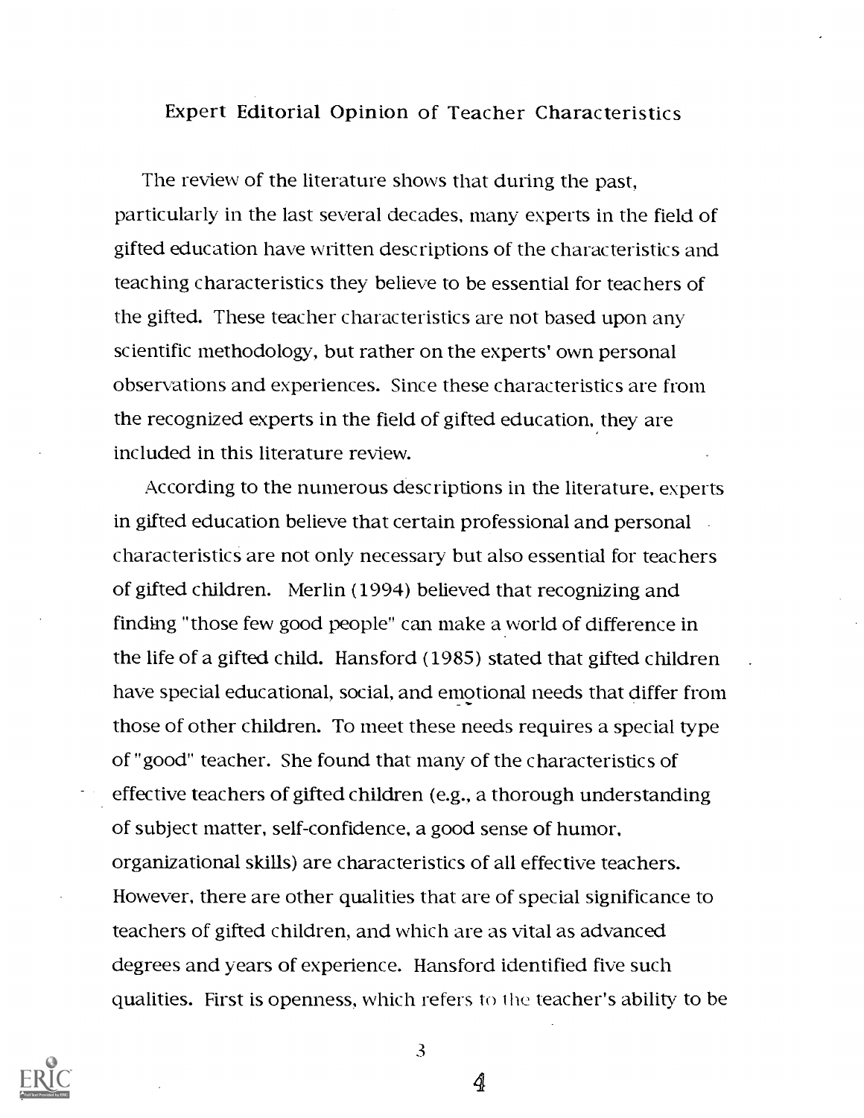### Expert Editorial Opinion of Teacher Characteristics

The review of the literature shows that during the past, particularly in the last several decades, many experts in the field of gifted education have written descriptions of the characteristics and teaching characteristics they believe to be essential for teachers of the gifted. These teacher characteristics are not based upon any scientific methodology, but rather on the experts' own personal observations and experiences. Since these characteristics are from the recognized experts in the field of gifted education, they are included in this literature review.

According to the numerous descriptions in the literature, experts in gifted education believe that certain professional and personal characteristics are not only necessary but also essential for teachers of gifted children. Merlin (1994) believed that recognizing and finding "those few good people" can make a world of difference in the life of a gifted child. Hansford (1985) stated that gifted children have special educational, social, and emotional needs that differ from those of other children. To meet these needs requires a special type of "good" teacher. She found that many of the characteristics of effective teachers of gifted children (e.g., a thorough understanding of subject matter, self-confidence, a good sense of humor, organizational skills) are characteristics of all effective teachers. However, there are other qualities that are of special significance to teachers of gifted children, and which are as vital as advanced degrees and years of experience. Hansford identified five such qualities. First is openness, which refers to the teacher's ability to be



3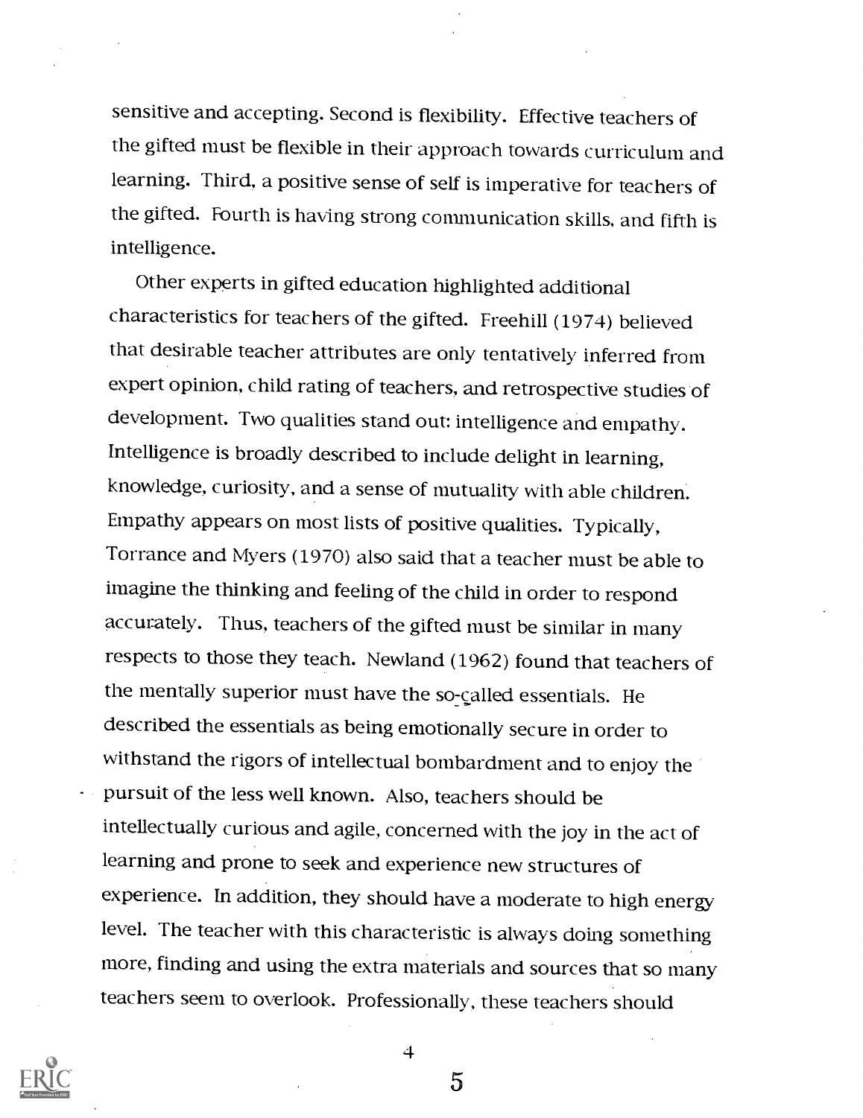sensitive and accepting. Second is flexibility. Effective teachers of the gifted must be flexible in their approach towards curriculum and learning. Third, a positive sense of self is imperative for teachers of the gifted. Fourth is having strong communication skills, and fifth is intelligence.

Other experts in gifted education highlighted additional characteristics for teachers of the gifted. Freehill (1974) believed that desirable teacher attributes are only tentatively inferred from expert opinion, child rating of teachers, and retrospective studies'of development. Two qualities stand out: intelligence and empathy. Intelligence is broadly described to include delight in learning, knowledge, curiosity, and a sense of mutuality with able children. Empathy appears on most lists of positive qualities. Typically, Torrance and Myers (1970) also said that a teacher must be able to imagine the thinking and feeling of the child in order to respond accurately. Thus, teachers of the gifted must be similar in many respects to those they teach. Newland (1962) found that teachers of the mentally superior must have the so-called essentials. He described the essentials as being emotionally secure in order to withstand the rigors of intellectual bombardment and to enjoy the pursuit of the less well known. Also, teachers should be intellectually curious and agile, concerned with the joy in the act of learning and prone to seek and experience new structures of experience. In addition, they should have a moderate to high energy level. The teacher with this characteristic is always doing something more, finding and using the extra materials and sources that so many teachers seem to overlook. Professionally, these teachers should



4

 $\overline{5}$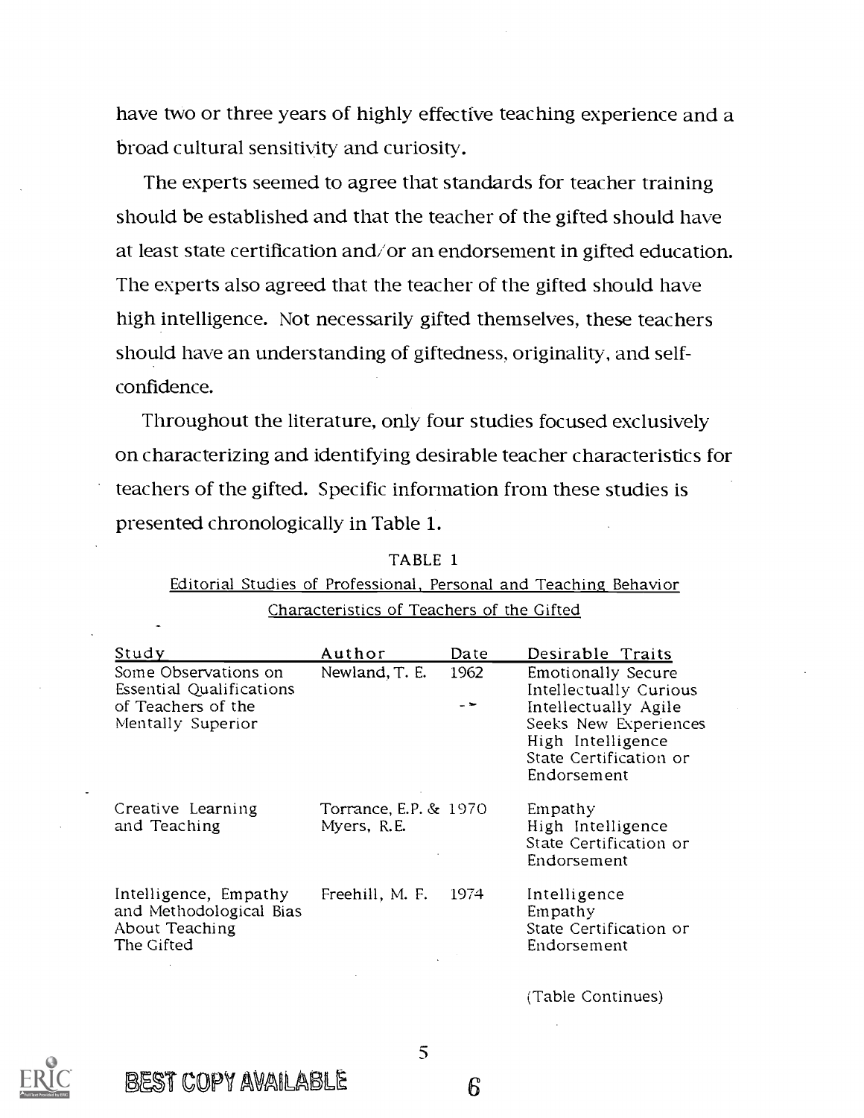have two or three years of highly effective teaching experience and a broad cultural sensitivity and curiosity.

The experts seemed to agree that standards for teacher training should be established and that the teacher of the gifted should have at least state certification and/or an endorsement in gifted education. The experts also agreed that the teacher of the gifted should have high intelligence. Not necessarily gifted themselves, these teachers should have an understanding of giftedness, originality, and selfconfidence.

Throughout the literature, only four studies focused exclusively on characterizing and identifying desirable teacher characteristics for teachers of the gifted. Specific information from these studies is presented chronologically in Table 1.

| Study                                                                                       | Author                                          | Date                | Desirable Traits                                                                                                                                                   |
|---------------------------------------------------------------------------------------------|-------------------------------------------------|---------------------|--------------------------------------------------------------------------------------------------------------------------------------------------------------------|
| Some Observations on<br>Essential Qualifications<br>of Teachers of the<br>Mentally Superior | Newland, T. E.                                  | 1962<br>– <b>1-</b> | <b>Emotionally Secure</b><br>Intellectually Curious<br>Intellectually Agile<br>Seeks New Experiences<br>High Intelligence<br>State Certification or<br>Endorsement |
| Creative Learning<br>and Teaching                                                           | <b>Torrance, E.P. &amp; 1970</b><br>Myers, R.E. |                     | Empathy<br>High Intelligence<br>State Certification or<br>Endorsement                                                                                              |
| Intelligence, Empathy<br>and Methodological Bias<br>About Teaching<br>The Gifted            | Freehill, M. F.                                 | 1974                | Intelligence<br>Empathy<br>State Certification or<br>Endorsement                                                                                                   |
|                                                                                             |                                                 |                     | (Table Continues)                                                                                                                                                  |

TABLE 1

Editorial Studies of Professional, Personal and Teaching Behavior Characteristics of Teachers of the Gifted

BEST COPY AVAILABLE

S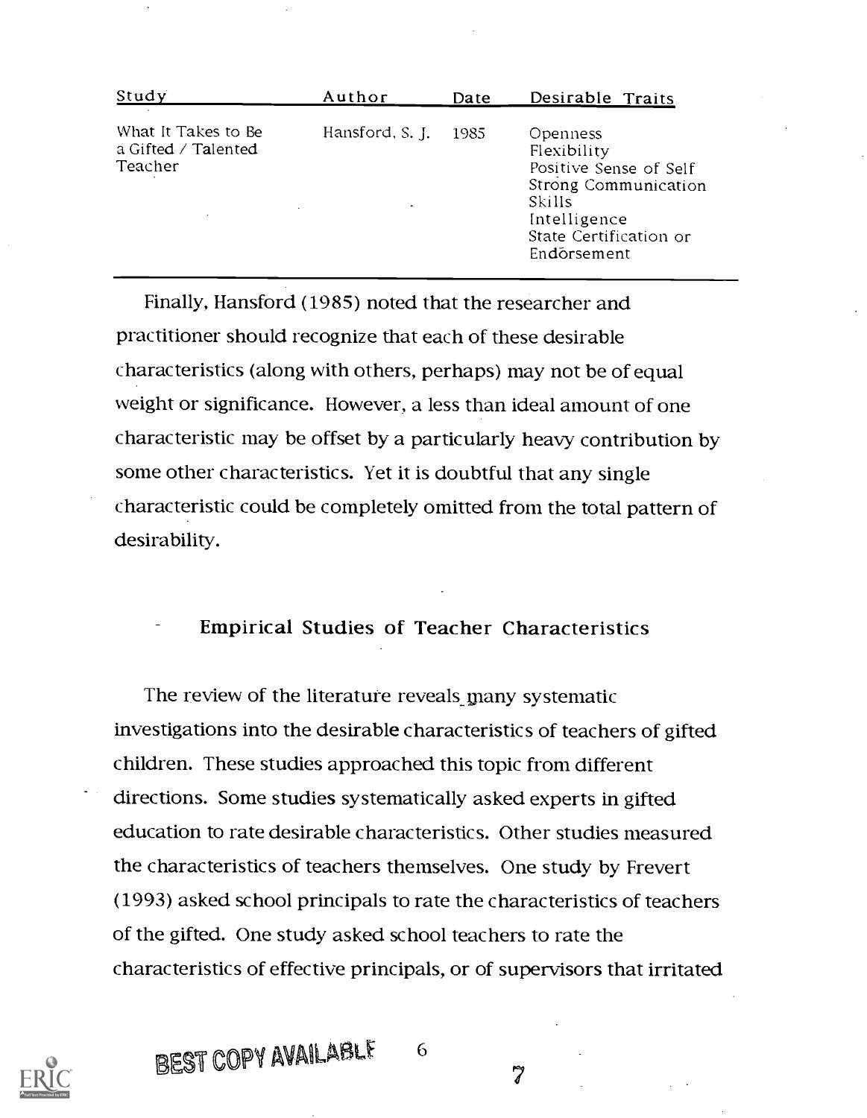| Study                                                 | Author               | Date | Desirable Traits                                                                                                                             |
|-------------------------------------------------------|----------------------|------|----------------------------------------------------------------------------------------------------------------------------------------------|
| What It Takes to Be<br>a Gifted / Talented<br>Teacher | Hansford, S. J. 1985 |      | Openness<br>Flexibility<br>Positive Sense of Self<br>Strong Communication<br>Skills<br>Intelligence<br>State Certification or<br>Endorsement |

Finally, Hansford (1985) noted that the researcher and practitioner should recognize that each of these desirable characteristics (along with others, perhaps) may not be of equal weight or significance. However, a less than ideal amount of one characteristic may be offset by a particularly heavy- contribution by some other characteristics. Yet it is doubtful that any single characteristic could be completely omitted from the total pattern of desirability.

Empirical Studies of Teacher Characteristics

The review of the literature reveals many systematic investigations into the desirable characteristics of teachers of gifted children. These studies approached this topic from different directions. Some studies systematically asked experts in gifted education to rate desirable characteristics. Other studies measured the characteristics of teachers themselves. One study by Frevert (1993) asked school principals to rate the characteristics of teachers of the gifted. One study asked school teachers to rate the characteristics of effective principals, or of supervisors that irritated



BEST COPY AVAILABLE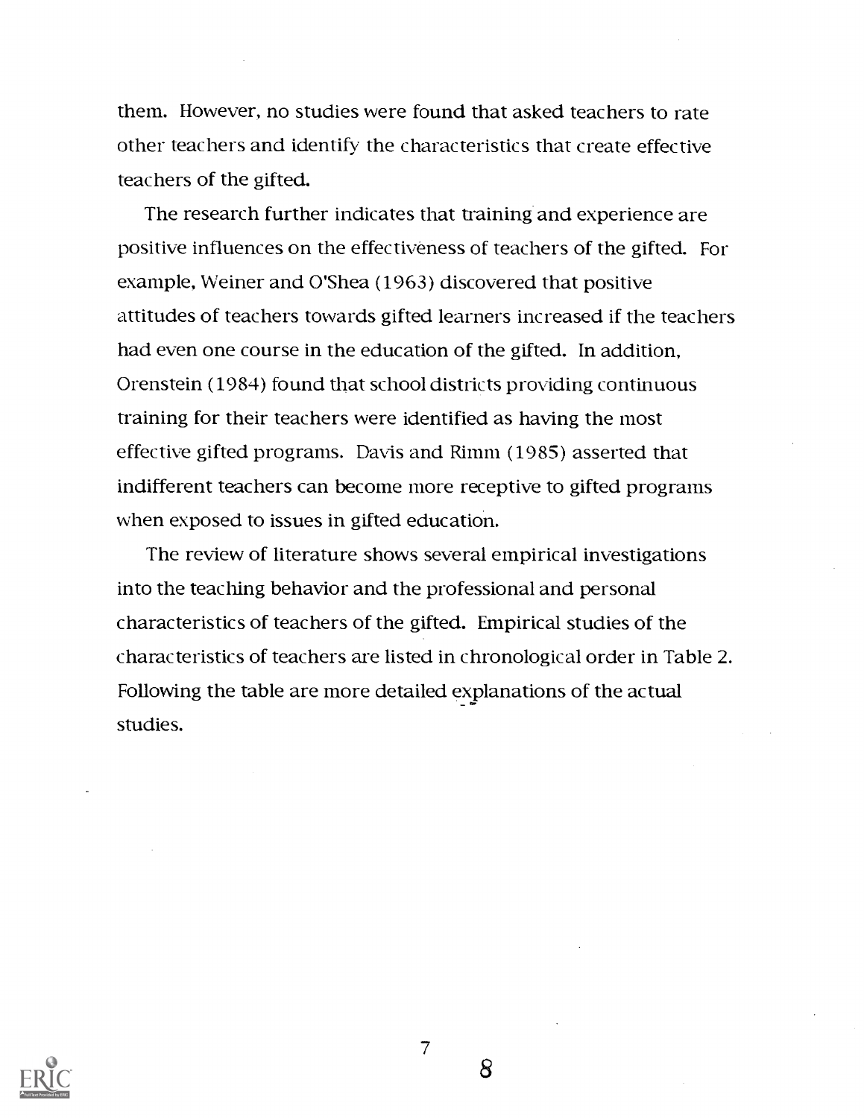them. However, no studies were found that asked teachers to rate other teachers and identify the characteristics that create effective teachers of the gifted.

The research further indicates that training and experience are positive influences on the effectiveness of teachers of the gifted. For example, Weiner and O'Shea (1963) discovered that positive attitudes of teachers towards gifted learners increased if the teachers had even one course in the education of the gifted. In addition, Orenstein (1984) found that school districts providing continuous training for their teachers were identified as having the most effective gifted programs. Davis and Rimm (1985) asserted that indifferent teachers can become more receptive to gifted programs when exposed to issues in gifted education.

The review of literature shows several empirical investigations into the teaching behavior and the professional and personal characteristics of teachers of the gifted. Empirical studies of the characteristics of teachers are listed in chronological order in Table 2. Following the table are more detailed explanations of the actual studies.



7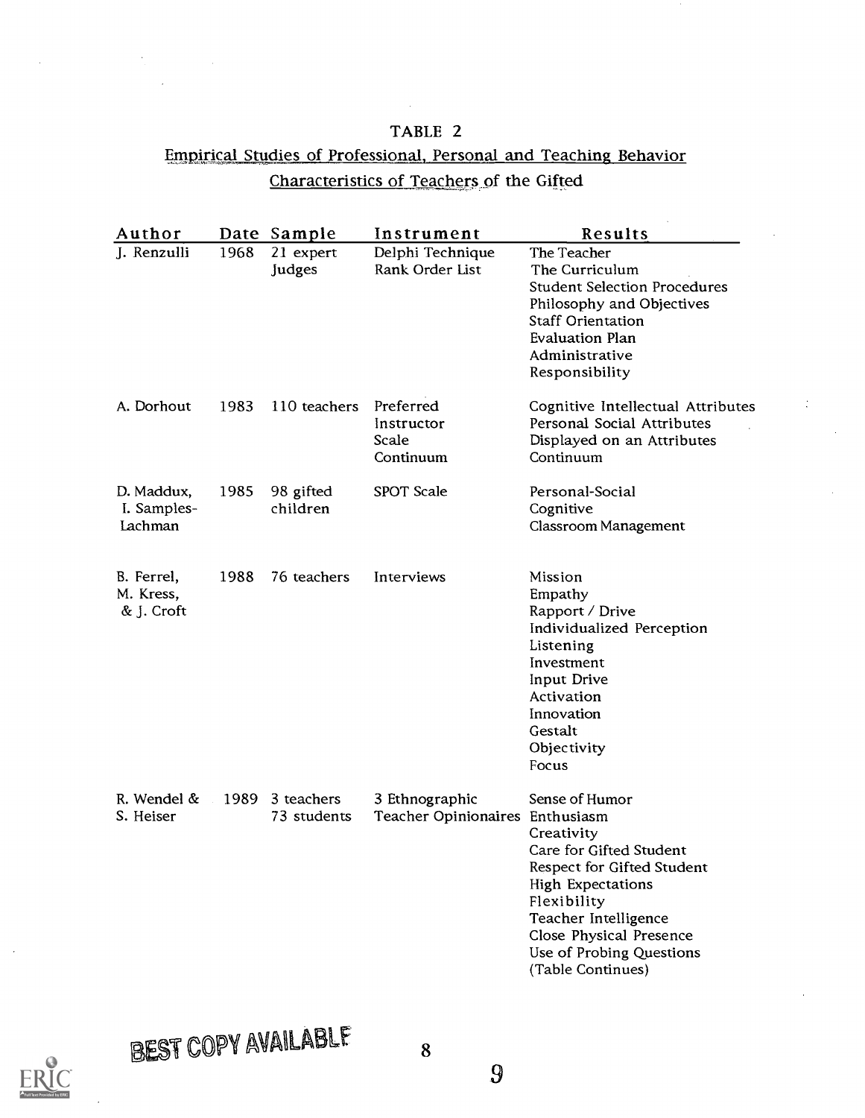# TABLE 2 Empirical Studies of Professional, Personal and Teaching Behavior Characteristics of Teachers of the Gifted

 $\sim 10^{-1}$ 

| Author                                |      | Date Sample                    | Instrument                                        | Results                                                                                                                                                                                                                              |
|---------------------------------------|------|--------------------------------|---------------------------------------------------|--------------------------------------------------------------------------------------------------------------------------------------------------------------------------------------------------------------------------------------|
| J. Renzulli                           | 1968 | 21 expert<br>Judges            | Delphi Technique<br>Rank Order List               | The Teacher<br>The Curriculum<br><b>Student Selection Procedures</b><br>Philosophy and Objectives<br><b>Staff Orientation</b><br><b>Evaluation Plan</b><br>Administrative<br>Responsibility                                          |
| A. Dorhout                            | 1983 | 110 teachers                   | Preferred<br>Instructor<br>Scale<br>Continuum     | Cognitive Intellectual Attributes<br>Personal Social Attributes<br>Displayed on an Attributes<br>Continuum                                                                                                                           |
| D. Maddux,<br>I. Samples-<br>Lachman  | 1985 | 98 gifted<br>children          | SPOT Scale                                        | Personal-Social<br>Cognitive<br>Classroom Management                                                                                                                                                                                 |
| B. Ferrel,<br>M. Kress,<br>& J. Croft | 1988 | 76 teachers                    | Interviews                                        | Mission<br>Empathy<br>Rapport / Drive<br>Individualized Perception<br>Listening<br>Investment<br>Input Drive<br>Activation<br>Innovation<br>Gestalt<br>Objectivity<br>Focus                                                          |
| R. Wendel &<br>S. Heiser              |      | 1989 3 teachers<br>73 students | 3 Ethnographic<br>Teacher Opinionaires Enthusiasm | Sense of Humor<br>Creativity<br>Care for Gifted Student<br>Respect for Gifted Student<br><b>High Expectations</b><br>Flexibility<br>Teacher Intelligence<br>Close Physical Presence<br>Use of Probing Questions<br>(Table Continues) |



**Committee**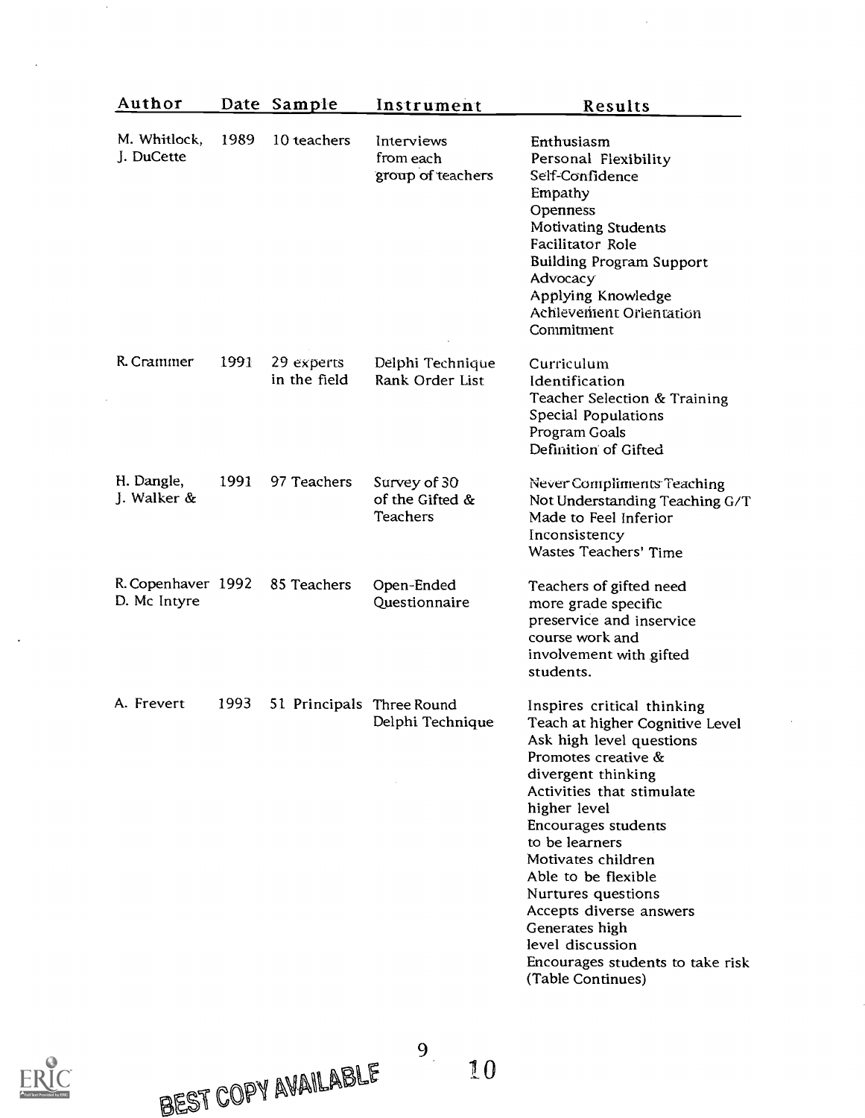| Author                             |      | Date Sample                | Instrument                                         | Results                                                                                                                                                                                                                                                                                                                                                                                                                   |
|------------------------------------|------|----------------------------|----------------------------------------------------|---------------------------------------------------------------------------------------------------------------------------------------------------------------------------------------------------------------------------------------------------------------------------------------------------------------------------------------------------------------------------------------------------------------------------|
| M. Whitlock,<br>J. DuCette         | 1989 | 10 teachers                | Interviews<br>from each<br>group of teachers       | Enthusiasm<br>Personal Flexibility<br>Self-Confidence<br>Empathy<br>Openness<br><b>Motivating Students</b><br>Facilitator Role<br><b>Building Program Support</b><br>Advocacy<br>Applying Knowledge<br>Achlevement Orientation<br>Commitment                                                                                                                                                                              |
| R. Crammer                         | 1991 | 29 experts<br>in the field | Delphi Technique<br>Rank Order List                | Curriculum<br>Identification<br>Teacher Selection & Training<br>Special Populations<br>Program Goals<br>Definition of Gifted                                                                                                                                                                                                                                                                                              |
| H. Dangle,<br>J. Walker &          | 1991 | 97 Teachers                | Survey of 30<br>of the Gifted &<br><b>Teachers</b> | Never Compliments Teaching<br>Not Understanding Teaching G/T<br>Made to Feel Inferior<br>Inconsistency<br>Wastes Teachers' Time                                                                                                                                                                                                                                                                                           |
| R. Copenhaver 1992<br>D. Mc Intyre |      | 85 Teachers                | Open-Ended<br>Questionnaire                        | Teachers of gifted need<br>more grade specific<br>preservice and inservice<br>course work and<br>involvement with gifted<br>students.                                                                                                                                                                                                                                                                                     |
| A. Frevert                         | 1993 | 51 Principals Three Round  | Delphi Technique                                   | Inspires critical thinking<br>Teach at higher Cognitive Level<br>Ask high level questions<br>Promotes creative &<br>divergent thinking<br>Activities that stimulate<br>higher level<br>Encourages students<br>to be learners<br>Motivates children<br>Able to be flexible<br>Nurtures questions<br>Accepts diverse answers<br>Generates high<br>level discussion<br>Encourages students to take risk<br>(Table Continues) |

 $\frac{1}{2}$ 



 $\sim$ 

 $\sim 10^4$ 

 $\ddot{\phantom{0}}$ 

BEST COPY AVAILABLE

to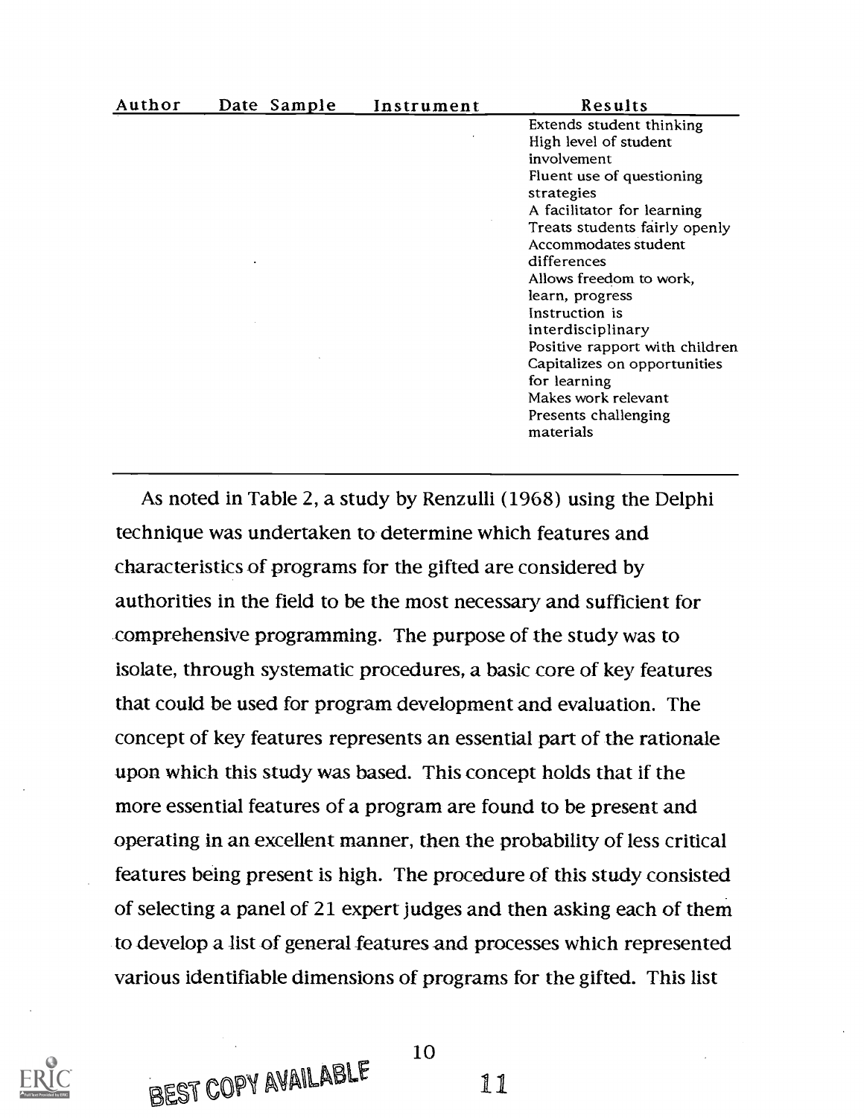| Author | Date Sample | Instrument | Results                        |
|--------|-------------|------------|--------------------------------|
|        |             |            | Extends student thinking       |
|        |             |            | High level of student          |
|        |             |            | involvement                    |
|        |             |            | Fluent use of questioning      |
|        |             |            | strategies                     |
|        |             |            | A facilitator for learning     |
|        |             |            | Treats students fairly openly  |
|        |             |            | Accommodates student           |
|        |             |            | differences                    |
|        |             |            | Allows freedom to work,        |
|        |             |            | learn, progress                |
|        |             |            | Instruction is                 |
|        |             |            | interdisciplinary              |
|        |             |            | Positive rapport with children |
|        |             |            | Capitalizes on opportunities   |
|        |             |            | for learning                   |
|        |             |            | Makes work relevant            |
|        |             |            | Presents challenging           |
|        |             |            | materials                      |

As noted in Table 2, a study by Renzulli (1968) using the Delphi technique was undertaken to determine which features and characteristics of programs for the gifted are considered by authorities in the field to be the most necessary and sufficient for comprehensive programming. The purpose of the study was to isolate, through systematic procedures, a basic core of key features that could be used for program development and evaluation. The concept of key features represents an essential part of the rationale upon which this study was based. This concept holds that if the more essential features of a program are found to be present and operating in an excellent manner, then the probability of less critical features being present is high. The procedure of this study consisted of selecting a panel of 21 expert judges and then asking each of them to develop a list of general features and processes which represented various identifiable dimensions of programs for the gifted. This list



BEST COPY AVAILABLE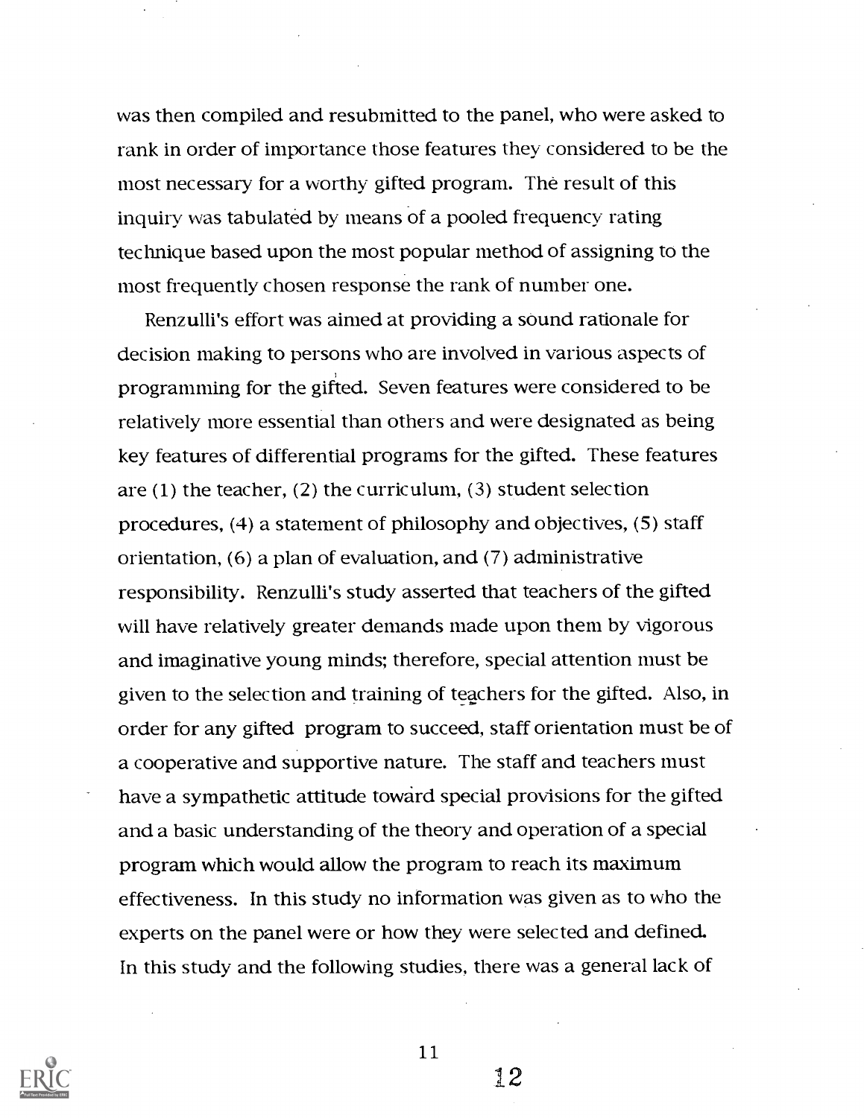was then compiled and resubmitted to the panel, who were asked to rank in order of importance those features they considered to be the most necessary for a worthy gifted program. The result of this inquiry was tabulated by means of a pooled frequency rating technique based upon the most popular method of assigning to the most frequently chosen response the rank of number one.

Renzulli's effort was aimed at providing a sound rationale for decision making to persons who are involved in various aspects of programming for the gifted. Seven features were considered to be relatively more essential than others and were designated as being key features of differential programs for the gifted. These features are (1) the teacher, (2) the curriculum, (3) student selection procedures, (4) a statement of philosophy and objectives, (5) staff orientation, (6) a plan of evaluation, and (7) administrative responsibility. Renzulli's study asserted that teachers of the gifted will have relatively greater demands made upon them by vigorous and imaginative young minds; therefore, special attention must be given to the selection and training of teachers for the gifted. Also, in order for any gifted program to succeed, staff orientation must be of a cooperative and supportive nature. The staff and teachers must have a sympathetic attitude toward special provisions for the gifted and a basic understanding of the theory and operation of a special program which would allow the program to reach its maximum effectiveness. In this study no information was given as to who the experts on the panel were or how they were selected and defined. In this study and the following studies, there was a general lack of



11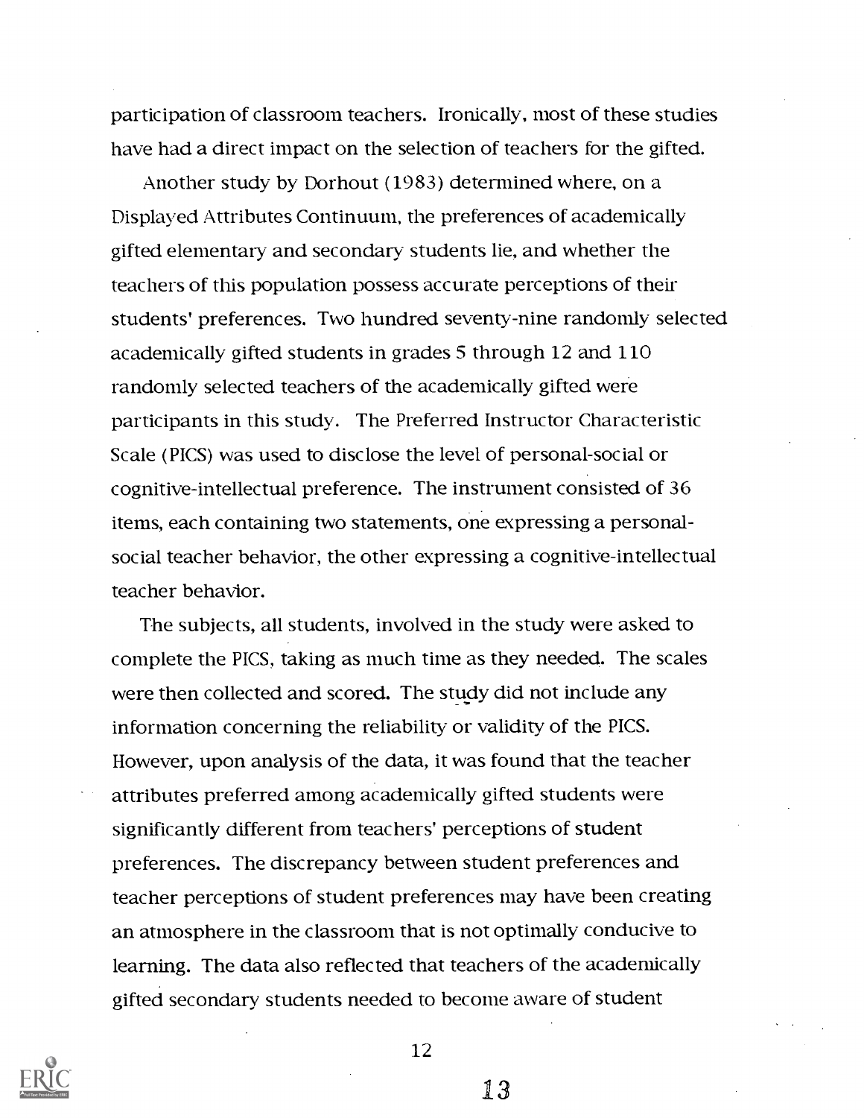participation of classroom teachers. Ironically, most of these studies have had a direct impact on the selection of teachers for the gifted.

Another study by Dorhout (1983) determined where, on a Displayed Attributes Continuum, the preferences of academically gifted elementary- and secondary students lie, and whether the teachers of this population possess accurate perceptions of their students' preferences. Two hundred seventy-nine randomly selected academically gifted students in grades 5 through 12 and 110 randomly selected teachers of the academically gifted were participants in this study. The Preferred Instructor Characteristic Scale (PIGS) was used to disclose the level of personal-social or cognitive-intellectual preference. The instrument consisted of 36 items, each containing two statements, one expressing a personalsocial teacher behavior, the other expressing a cognitive-intellectual teacher behavior.

The subjects, all students, involved in the study were asked to complete the PIGS, taking as much time as they needed. The scales were then collected and scored. The study did not include any information concerning the reliability or validity of the PIGS. However, upon analysis of the data, it was found that the teacher attributes preferred among academically gifted students were significantly different from teachers' perceptions of student preferences. The discrepancy between student preferences and teacher perceptions of student preferences may have been creating an atmosphere in the classroom that is not optimally conducive to learning. The data also reflected that teachers of the academically gifted secondary students needed to become aware of student



12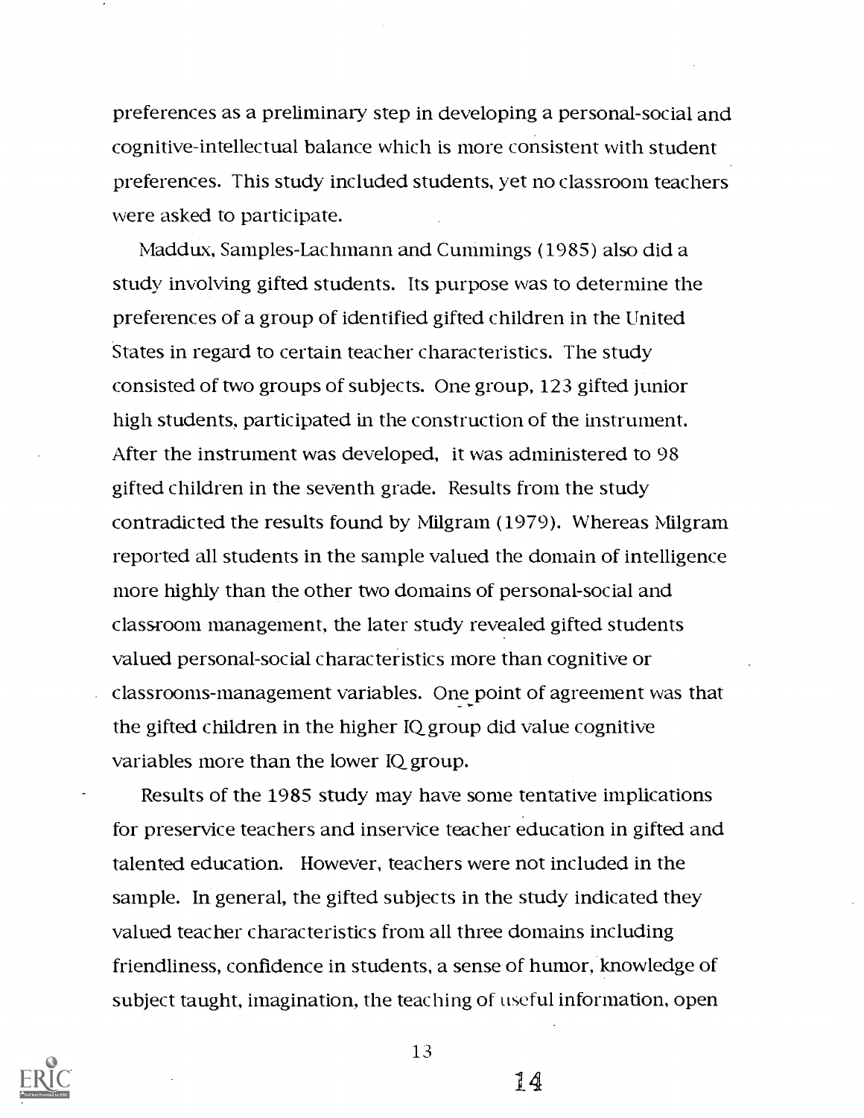preferences as a preliminary step in developing a personal-social and cognitive-intellectual balance which is more consistent with student preferences. This study included students, yet no classroom teachers were asked to participate.

Maddux, Samples-Lachmann and Cummings (1985) also did a study involving gifted students. Its purpose was to determine the preferences of a group of identified gifted children in the United States in regard to certain teacher characteristics. The study consisted of two groups of subjects. One group, 123 gifted junior high students, participated in the construction of the instrument. After the instrument was developed, it was administered to 98 gifted children in the seventh grade. Results from the study contradicted the results found by Milgram (1979). Whereas Milgram reported all students in the sample valued the domain of intelligence more highly than the other two domains of personal-social and classroom management, the later study revealed gifted students valued personal-social characteristics more than cognitive or classrooms-management variables. One point of agreement was that the gifted children in the higher IQgroup did value cognitive variables more than the lower IQ group.

Results of the 1985 study may have some tentative implications for preservice teachers and inservice teacher education in gifted and talented education. However, teachers were not included in the sample. In general, the gifted subjects in the study indicated they valued teacher characteristics from all three domains including friendliness, confidence in students, a sense of humor, knowledge of subject taught, imagination, the teaching of useful information, open



13

'4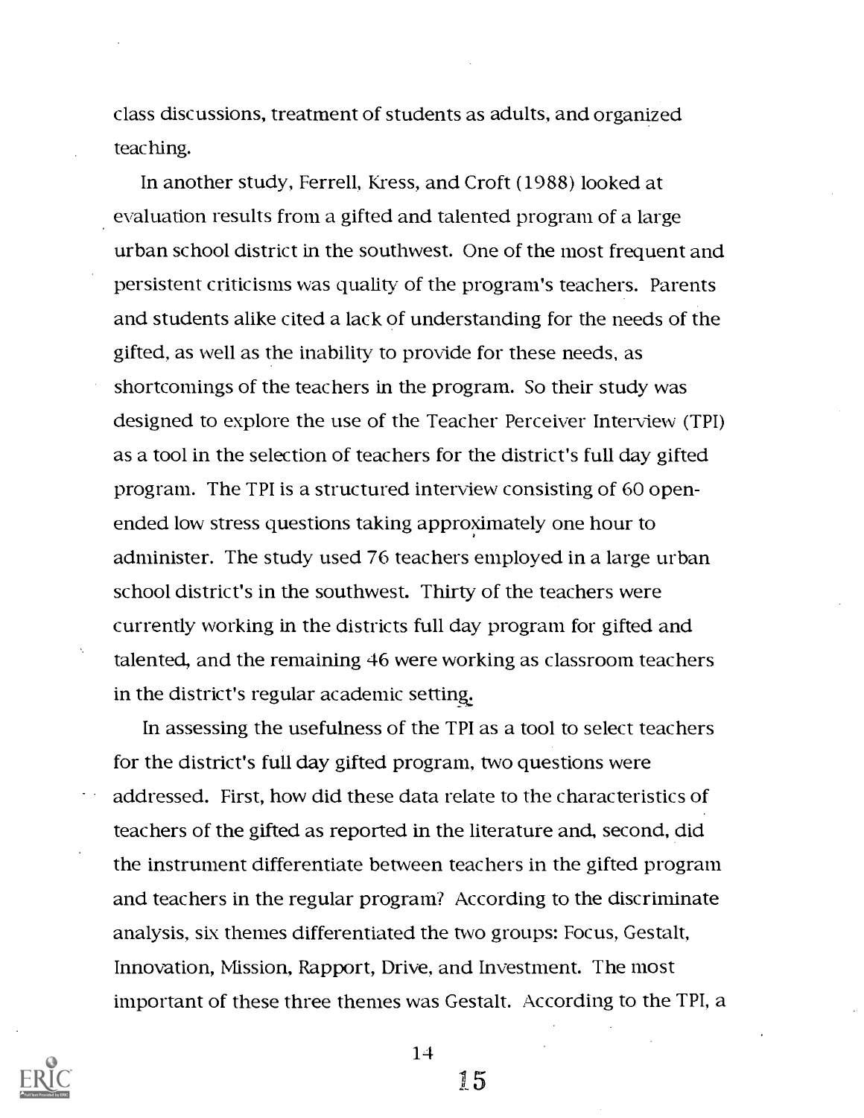class discussions, treatment of students as adults, and organized teaching.

In another study, Ferrell, Kress, and Croft (1988) looked at evaluation results from a gifted and talented program of a large urban school district in the southwest. One of the most frequent and persistent criticisms was quality of the program's teachers. Parents and students alike cited a lack of understanding for the needs of the gifted, as well as the inability to provide for these needs, as shortcomings of the teachers in the program. So their study was designed to explore the use of the Teacher Perceiver Interview (TPI) as a tool in the selection of teachers for the district's full day gifted program. The TPI is a structured interview consisting of 60 openended low stress questions taking approximately one hour to administer. The study used 76 teachers employed in a large urban school district's in the southwest. Thirty of the teachers were currently working in the districts full day program for gifted and talented, and the remaining 46 were working as classroom teachers in the district's regular academic setting.

In assessing the usefulness of the TPI as a tool to select teachers for the district's full day gifted program, two questions were addressed. First, how did these data relate to the characteristics of teachers of the gifted as reported in the literature and, second, did the instrument differentiate between teachers in the gifted program and teachers in the regular program? According to the discriminate analysis, six themes differentiated the two groups: Focus, Gestalt, Innovation, Mission, Rapport, Drive, and Investment. The most important of these three themes was Gestalt. According to the TPI, a



14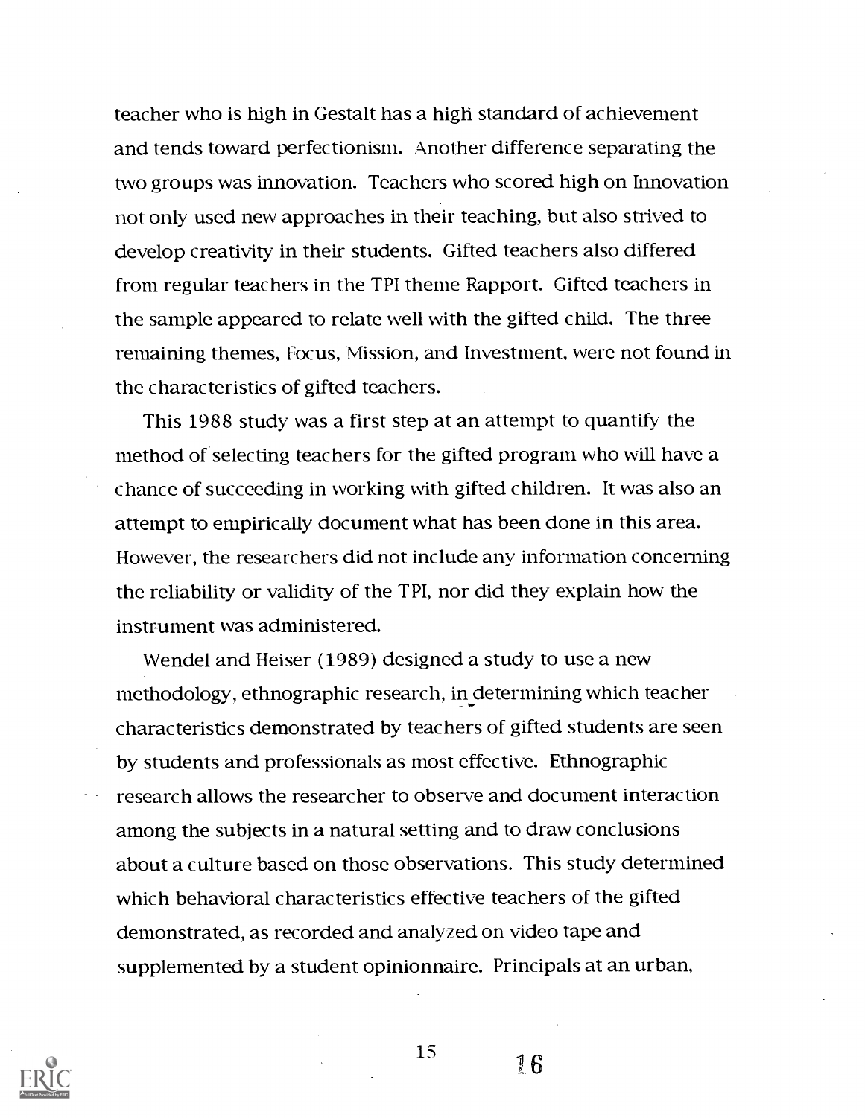teacher who is high in Gestalt has a high standard of achievement and tends toward perfectionism. Another difference separating the two groups was innovation. Teachers who scored high on Innovation not only used new approaches in their teaching, but also strived to develop creativity in their students. Gifted teachers also differed from regular teachers in the TPI theme Rapport. Gifted teachers in the sample appeared to relate well with the gifted child. The three remaining themes, Focus, Mission, and Investment, were not found in the characteristics of gifted teachers.

This 1988 study was a first step at an attempt to quantify the method of selecting teachers for the gifted program who will have a chance of succeeding in working with gifted children. It was also an attempt to empirically document what has been done in this area. However, the researchers did not include any information concerning the reliability or validity of the TPI, nor did they explain how the instrument was administered.

Wendel and Heiser (1989) designed a study to use a new methodology, ethnographic research, in determining which teacher characteristics demonstrated by teachers of gifted students are seen by students and professionals as most effective. Ethnographic research allows the researcher to observe and document interaction among the subjects in a natural setting and to draw conclusions about a culture based on those observations. This study determined which behavioral characteristics effective teachers of the gifted demonstrated, as recorded and analyzed on video tape and supplemented by a student opinionnaire. Principals at an urban,



15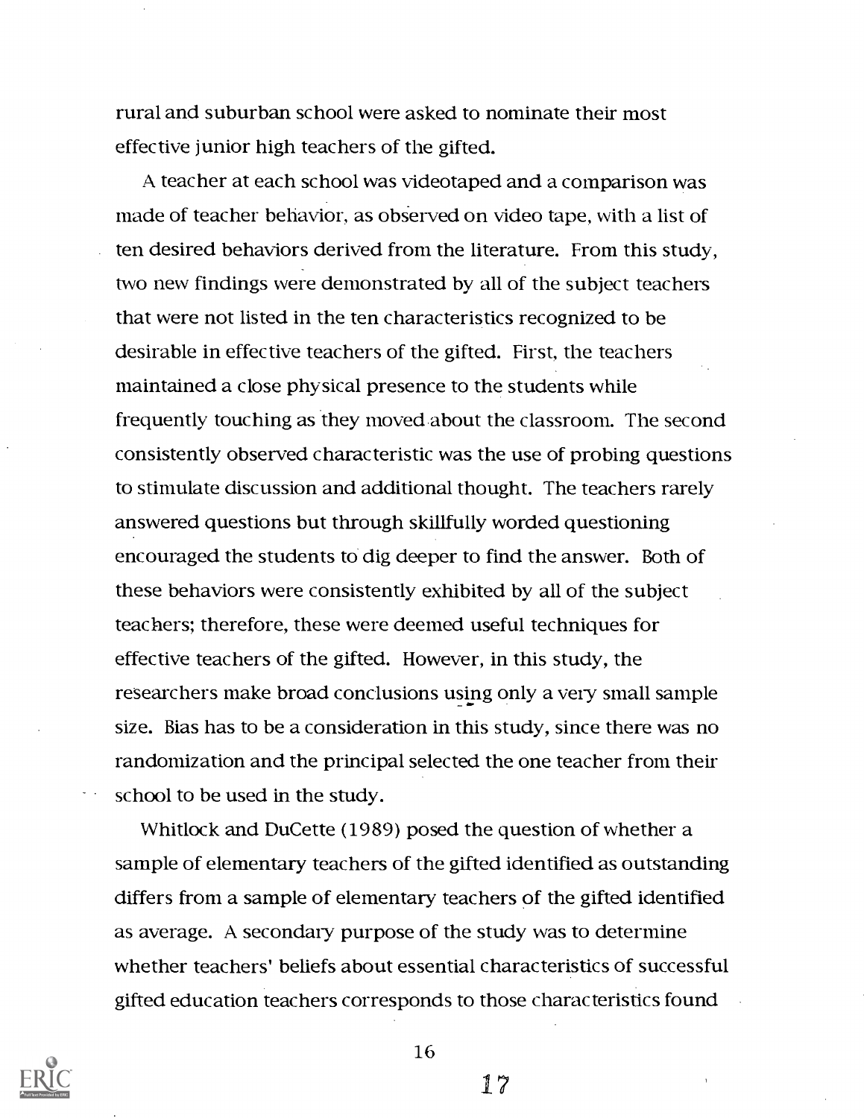rural and suburban school were asked to nominate their most effective junior high teachers of the gifted.

A teacher at each school was videotaped and a comparison was made of teacher behavior, as observed on video tape, with a list of ten desired behaviors derived from the literature. From this study, two new findings were demonstrated by all of the subject teachers that were not listed in the ten characteristics recognized to be desirable in effective teachers of the gifted. First, the teachers maintained a close physical presence to the students while frequently touching as they moved about the classroom. The second consistently observed characteristic was the use of probing questions to stimulate discussion and additional thought. The teachers rarely answered questions but through skillfully worded questioning encouraged the students to dig deeper to find the answer. Both of these behaviors were consistently exhibited by all of the subject teachers; therefore, these were deemed useful techniques for effective teachers of the gifted. However, in this study, the researchers make broad conclusions using only a very small sample size. Bias has to be a consideration in this study, since there was no randomization and the principal selected the one teacher from their school to be used in the study.

Whitlock and DuCette (1989) posed the question of whether a sample of elementary teachers of the gifted identified as outstanding differs from a sample of elementary teachers of the gifted identified as average. A secondary purpose of the study was to determine whether teachers' beliefs about essential characteristics of successful gifted education teachers corresponds to those characteristics found



16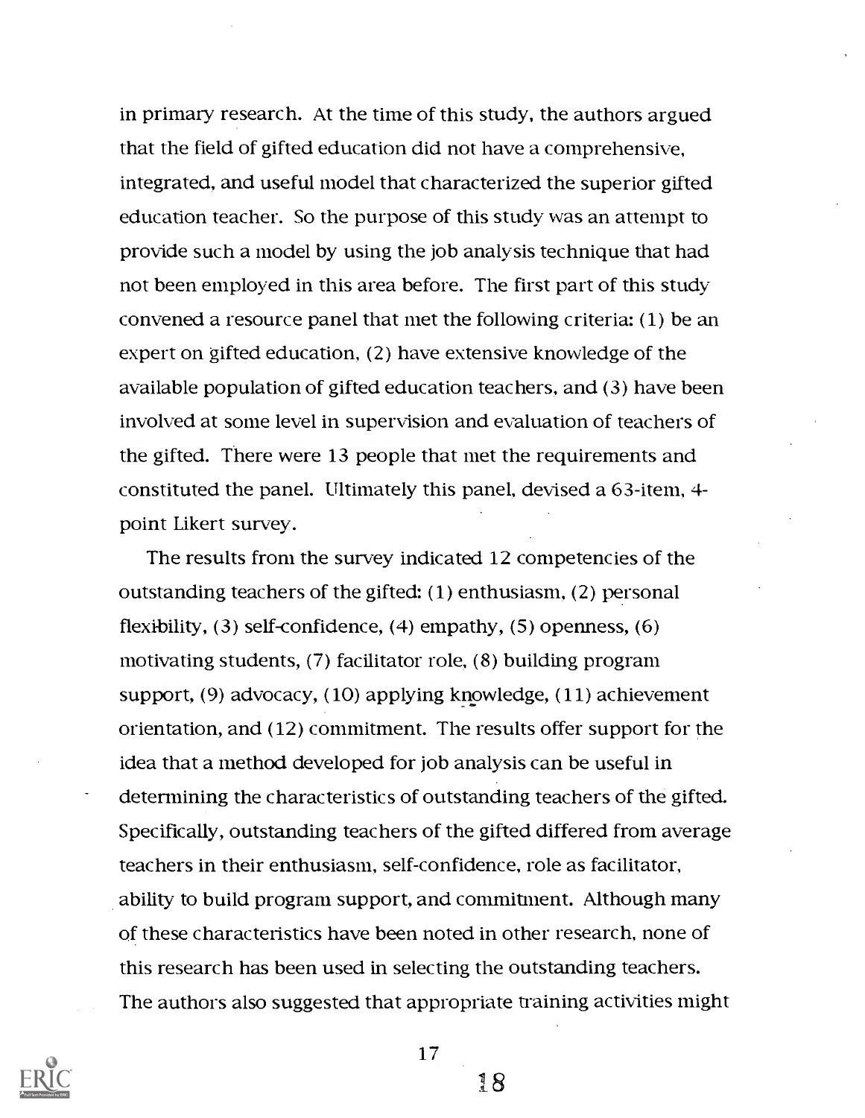in primary research. At the time of this study, the authors argued that the field of gifted education did not have a comprehensive, integrated, and useful model that characterized the superior gifted education teacher. So the purpose of this study was an attempt to provide such a model by using the job analysis technique that had not been employed in this area before. The first part of this study convened a resource panel that met the following criteria: (1) be an expert on gifted education, (2) have extensive knowledge of the available population of gifted education teachers, and (3) have been involved at some level in supervision and evaluation of teachers of the gifted. There were 13 people that met the requirements and constituted the panel. Ultimately this panel, devised a 63-item, 4 point Likert survey.

The results from the survey indicated 12 competencies of the outstanding teachers of the gifted: (1) enthusiasm, (2) personal flexibility, (3) self-confidence, (4) empathy, (5) openness, (6) motivating students, (7) facilitator role, (8) building program support, (9) advocacy, (10) applying knowledge, (11) achievement orientation, and (12) commitment. The results offer support for the idea that a method developed for job analysis can be useful in determining the characteristics of outstanding teachers of the gifted. Specifically, outstanding teachers of the gifted differed from average teachers in their enthusiasm, self-confidence, role as facilitator, ability to build program support, and commitment. Although many of these characteristics have been noted in other research, none of this research has been used in selecting the outstanding teachers. The authors also suggested that appropriate training activities might



17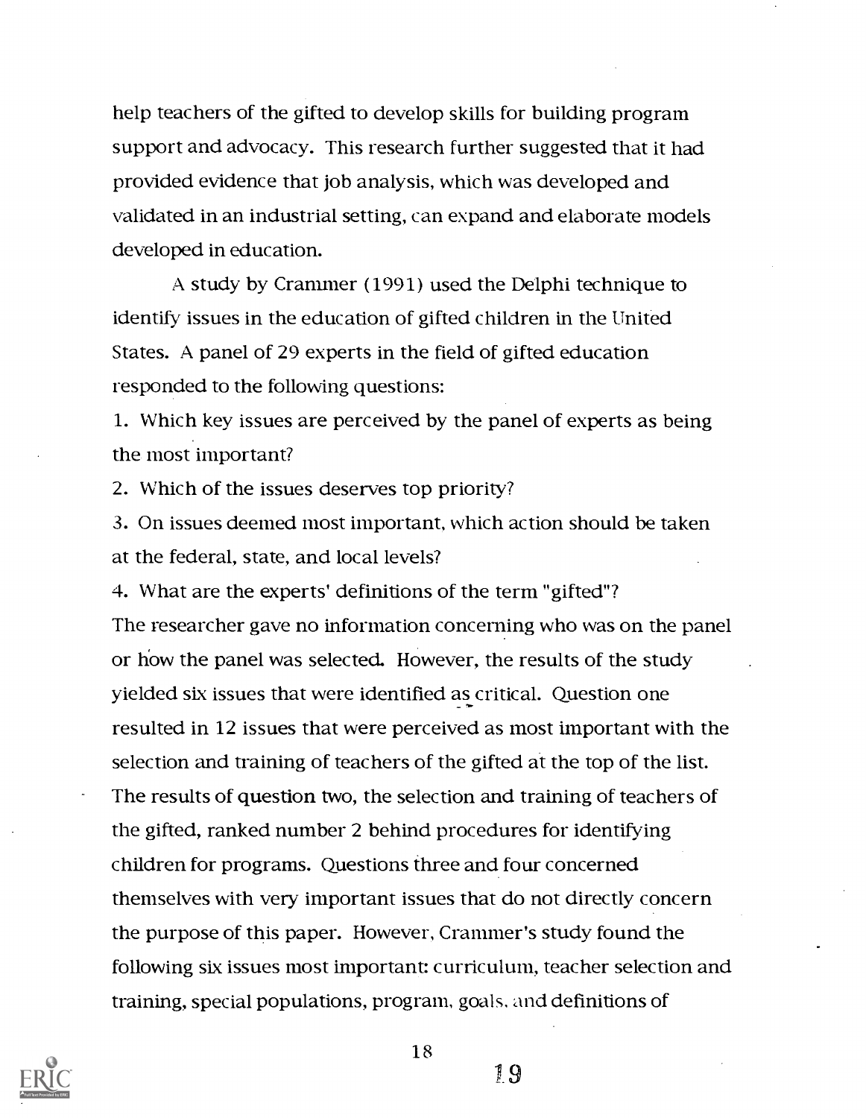help teachers of the gifted to develop skills for building program support and advocacy. This research further suggested that it had provided evidence that job analysis, which was developed and validated in an industrial setting, can expand and elaborate models developed in education.

A study by Crammer (1991) used the Delphi technique to identify issues in the education of gifted children in the United States. A panel of 29 experts in the field of gifted education responded to the following questions:

1. Which key issues are perceived by the panel of experts as being the most important?

2. Which of the issues deserves top priority?

3. On issues deemed most important, which action should be taken at the federal, state, and local levels?

4. What are the experts' definitions of the term "gifted"? The researcher gave no information concerning who was on the panel or how the panel was selected. However, the results of the study yielded six issues that were identified as critical. Question one resulted in 12 issues that were perceived as most important with the selection and training of teachers of the gifted at the top of the list. The results of question two, the selection and training of teachers of the gifted, ranked number 2 behind procedures for identifying children for programs. Questions three and four concerned themselves with very important issues that do not directly concern the purpose of this paper. However, Crammer's study found the following six issues most important: curriculum, teacher selection and training, special populations, program, goals. and definitions of



18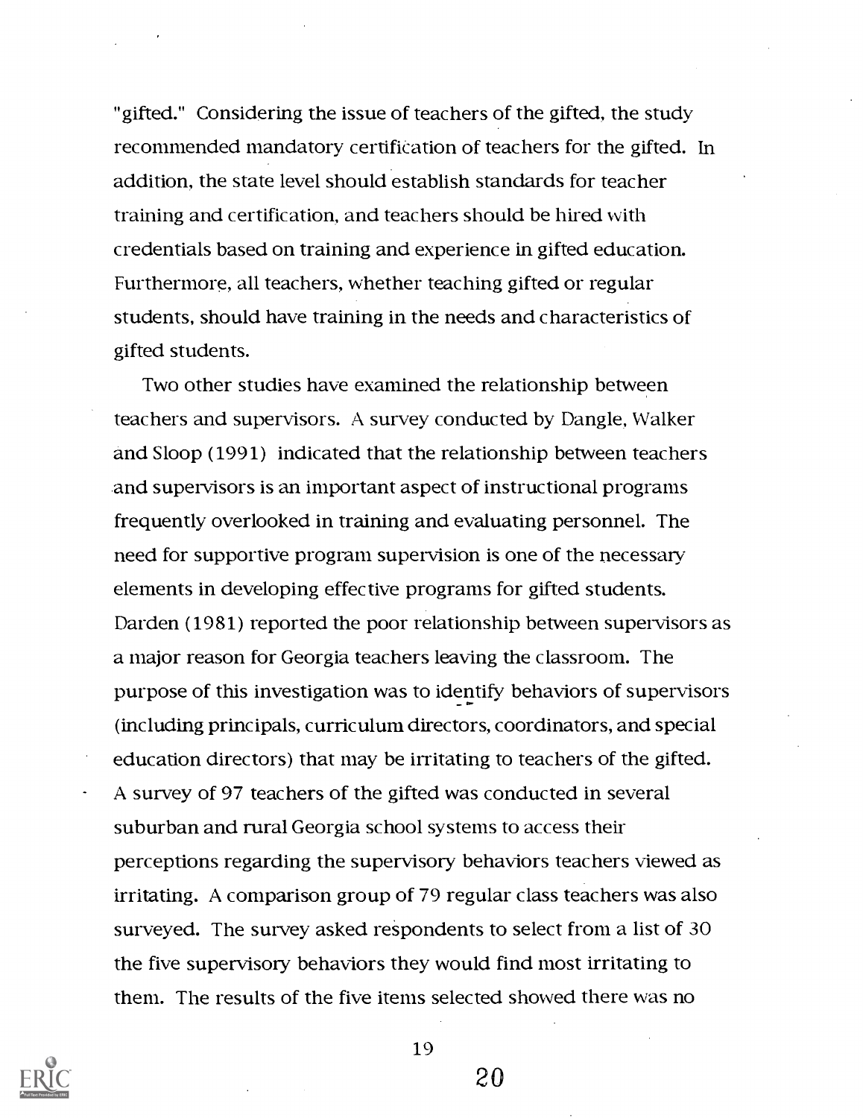"gifted." Considering the issue of teachers of the gifted, the study recommended mandatory certification of teachers for the gifted. In addition, the state level should establish standards for teacher training and certification, and teachers should be hired with credentials based on training and experience in gifted education. Furthermore, all teachers, whether teaching gifted or regular students, should have training in the needs and characteristics of gifted students.

Two other studies have examined the relationship between teachers and supervisors. A survey conducted by Dangle, Walker and Sloop (1991) indicated that the relationship between teachers and supervisors is an important aspect of instructional programs frequently overlooked in training and evaluating personnel. The need for supportive program supervision is one of the necessary elements in developing effective programs for gifted students. Darden (1981) reported the poor relationship between supervisors as a major reason for Georgia teachers leaving the classroom. The purpose of this investigation was to identify behaviors of supervisors (including principals, curriculum directors, coordinators, and special education directors) that may be irritating to teachers of the gifted. A survey of 97 teachers of the gifted was conducted in several suburban and rural Georgia school systems to access their perceptions regarding the supervisory behaviors teachers viewed as irritating. A comparison group of 79 regular class teachers was also surveyed. The survey asked respondents to select from a list of 30 the five supervisory behaviors they would find most irritating to them. The results of the five items selected showed there was no



19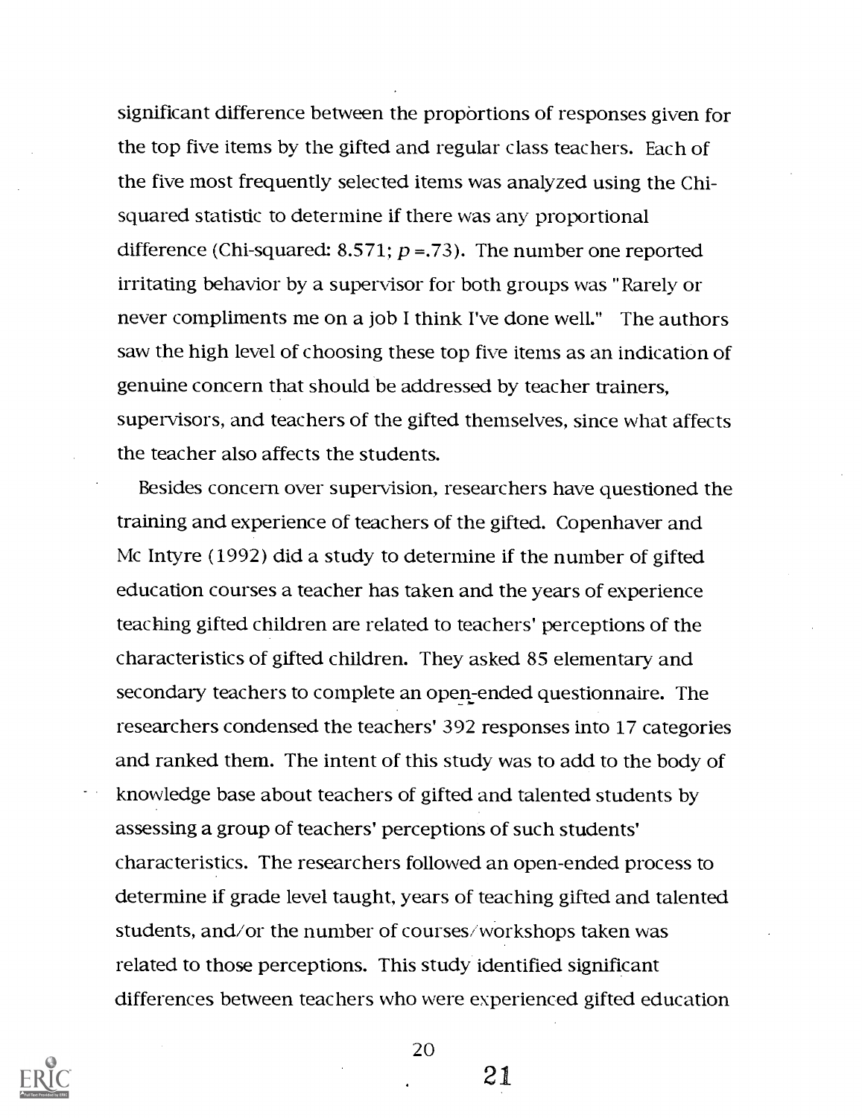significant difference between the proportions of responses given for the top five items by the gifted and regular class teachers. Each of the five most frequently selected items was analyzed using the Chisquared statistic to determine if there was any proportional difference (Chi-squared: 8.571;  $p = 73$ ). The number one reported irritating behavior by a supervisor for both groups was "Rarely or never compliments me on a job I think I've done well." The authors saw the high level of choosing these top five items as an indication of genuine concern that should be addressed by teacher trainers, supervisors, and teachers of the gifted themselves, since what affects the teacher also affects the students.

Besides concern over supervision, researchers have questioned the training and experience of teachers of the gifted. Copenhaver and Mc Intyre (1992) did a study to determine if the number of gifted education courses a teacher has taken and the years of experience teaching gifted children are related to teachers' perceptions of the characteristics of gifted children. They asked 85 elementary and secondary teachers to complete an open -ended questionnaire. The researchers condensed the teachers' 392 responses into 17 categories and ranked them. The intent of this study was to add to the body of knowledge base about teachers of gifted and talented students by assessing a group of teachers' perceptions of such students' characteristics. The researchers followed an open-ended process to determine if grade level taught, years of teaching gifted and talented students, and/or the number of courses/workshops taken was related to those perceptions. This study identified significant differences between teachers who were experienced gifted education



21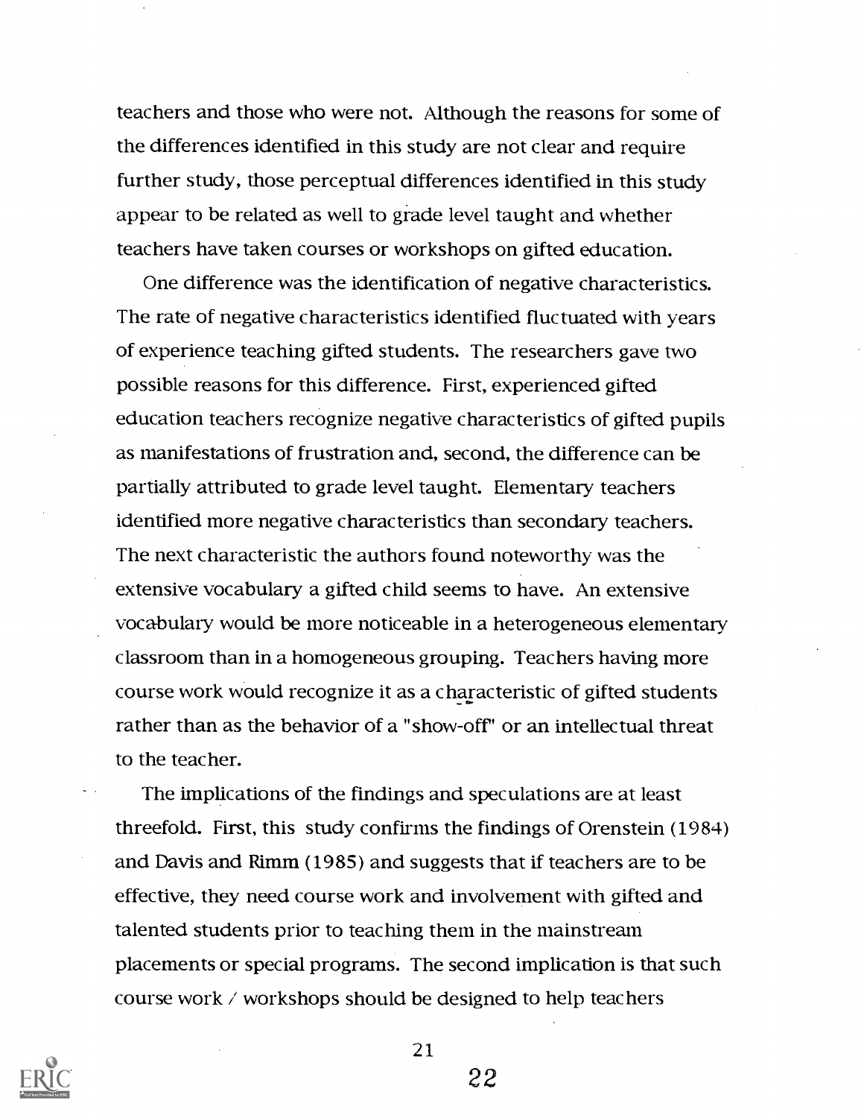teachers and those who were not. Although the reasons for some of the differences identified in this study are not clear and require further study, those perceptual differences identified in this study appear to be related as well to grade level taught and whether teachers have taken courses or workshops on gifted education.

One difference was the identification of negative characteristics. The rate of negative characteristics identified fluctuated with years of experience teaching gifted students. The researchers gave two possible reasons for this difference. First, experienced gifted education teachers recognize negative characteristics of gifted pupils as manifestations of frustration and, second, the difference can be partially attributed to grade level taught. Elementary teachers identified more negative characteristics than secondary teachers. The next characteristic the authors found noteworthy was the extensive vocabulary a gifted child seems to have. An extensive vocabulary would be more noticeable in a heterogeneous elementary classroom than in a homogeneous grouping. Teachers having more course work would recognize it as a characteristic of gifted students rather than as the behavior of a "show-off' or an intellectual threat to the teacher.

The implications of the findings and speculations are at least threefold. First, this study confirms the findings of Orenstein (1984) and Davis and Rimm (1985) and suggests that if teachers are to be effective, they need course work and involvement with gifted and talented students prior to teaching them in the mainstream placements or special programs. The second implication is that such course work //workshops should be designed to help teachers



21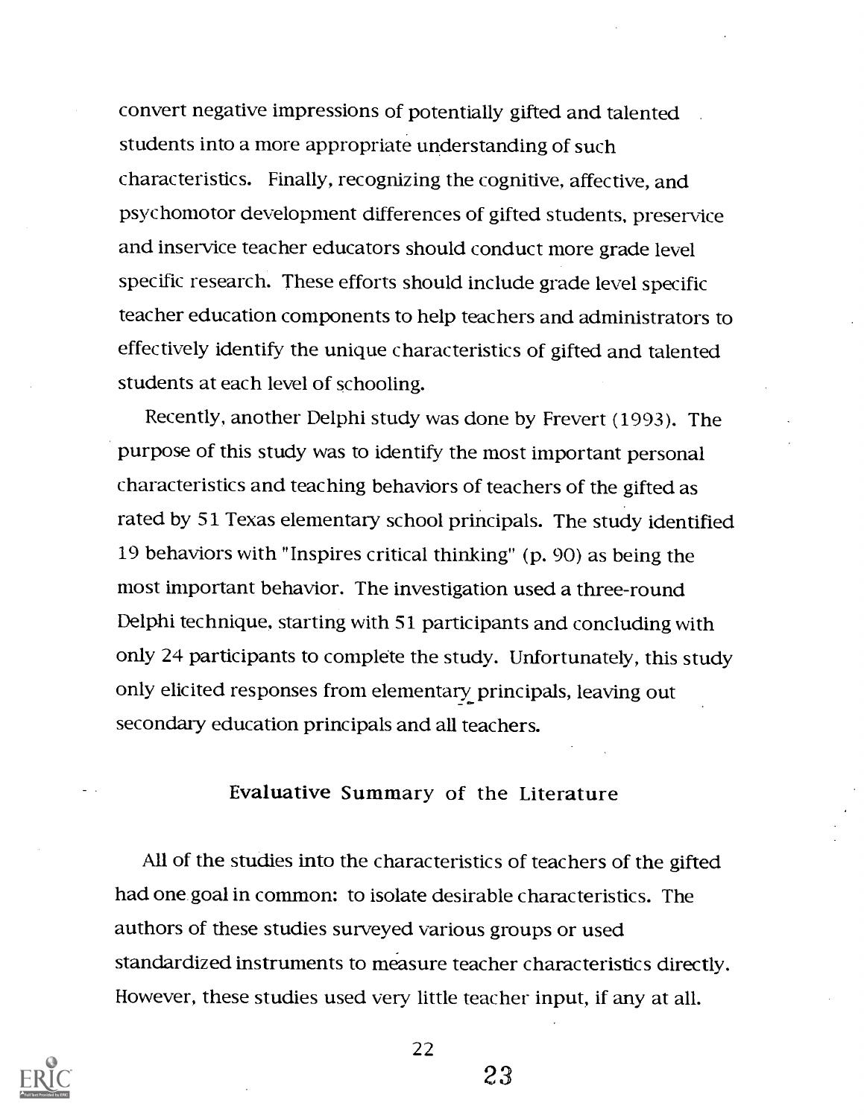convert negative impressions of potentially gifted and talented students into a more appropriate understanding of such characteristics. Finally, recognizing the cognitive, affective, and psychomotor development differences of gifted students, preservice and inservice teacher educators should conduct more grade level specific research. These efforts should include grade level specific teacher education components to help teachers and administrators to effectively identify the unique characteristics of gifted and talented students at each level of schooling.

Recently, another Delphi study was done by Frevert (1993). The purpose of this study was to identify the most important personal characteristics and teaching behaviors of teachers of the gifted as rated by 51 Texas elementary school principals. The study identified 19 behaviors with "Inspires critical thinking" (p. 90) as being the most important behavior. The investigation used a three-round Delphi technique, starting with 51 participants and concluding with only 24 participants to complete the study. Unfortunately, this study only elicited responses from elementary principals, leaving out secondary education principals and all teachers.

#### Evaluative Summary of the Literature

All of the studies into the characteristics of teachers of the gifted had one goal in common: to isolate desirable characteristics. The authors of these studies surveyed various groups or used standardized instruments to measure teacher characteristics directly. However, these studies used very little teacher input, if any at all.



22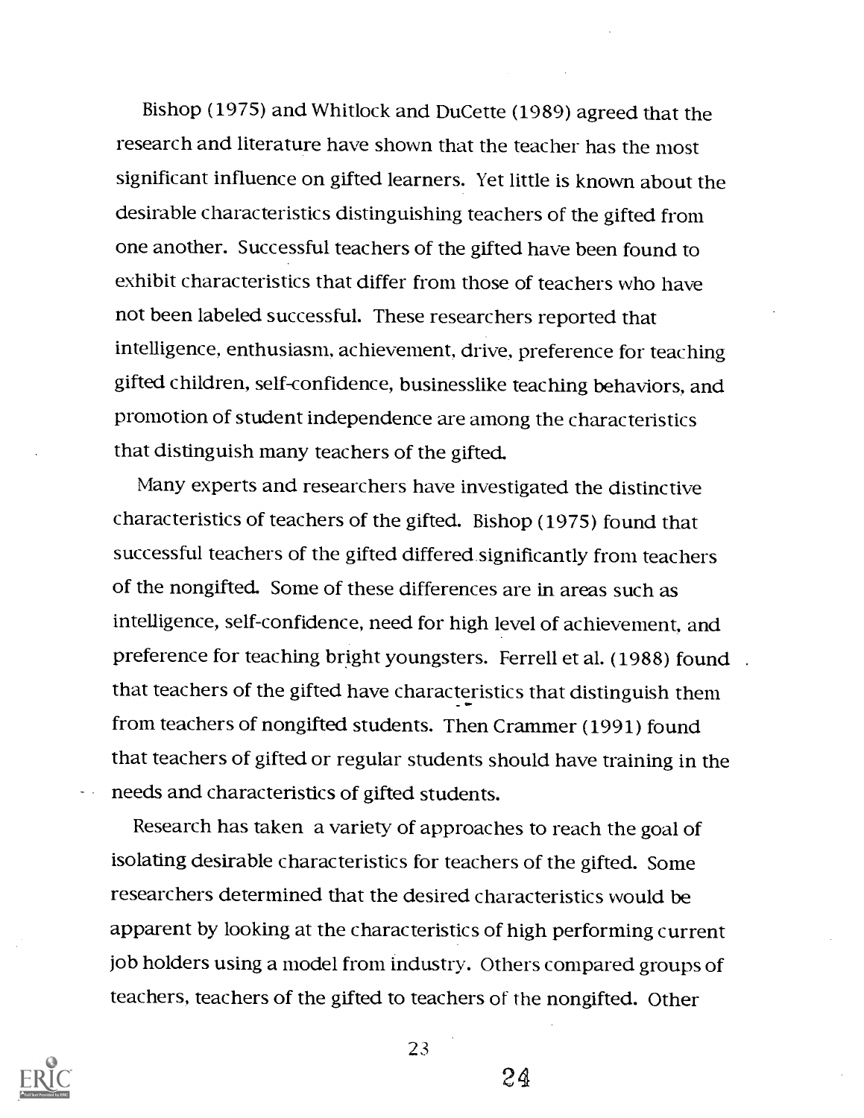Bishop (1975) and Whitlock and DuCette (1989) agreed that the research and literature have shown that the teacher has the most significant influence on gifted learners. Yet little is known about the desirable characteristics distinguishing teachers of the gifted from one another. Successful teachers of the gifted have been found to exhibit characteristics that differ from those of teachers who have not been labeled successful. These researchers reported that intelligence, enthusiasm, achievement, drive, preference for teaching gifted children, self-confidence, businesslike teaching behaviors, and promotion of student independence are among the characteristics that distinguish many teachers of the gifted.

Many experts and researchers have investigated the distinctive characteristics of teachers of the gifted. Bishop (1975) found that successful teachers of the gifted differed.significantly from teachers of the nongifted. Some of these differences are in areas such as intelligence, self-confidence, need for high level of achievement, and preference for teaching bright youngsters. Ferrell et al. (1988) found that teachers of the gifted have characteristics that distinguish them from teachers of nongifted students. Then Crammer (1991) found that teachers of gifted or regular students should have training in the needs and characteristics of gifted students.

Research has taken a variety of approaches to reach the goal of isolating desirable characteristics for teachers of the gifted. Some researchers determined that the desired characteristics would be apparent by looking at the characteristics of high performing current job holders using a model from industry. Others compared groups of teachers, teachers of the gifted to teachers of the nongifted. Other



23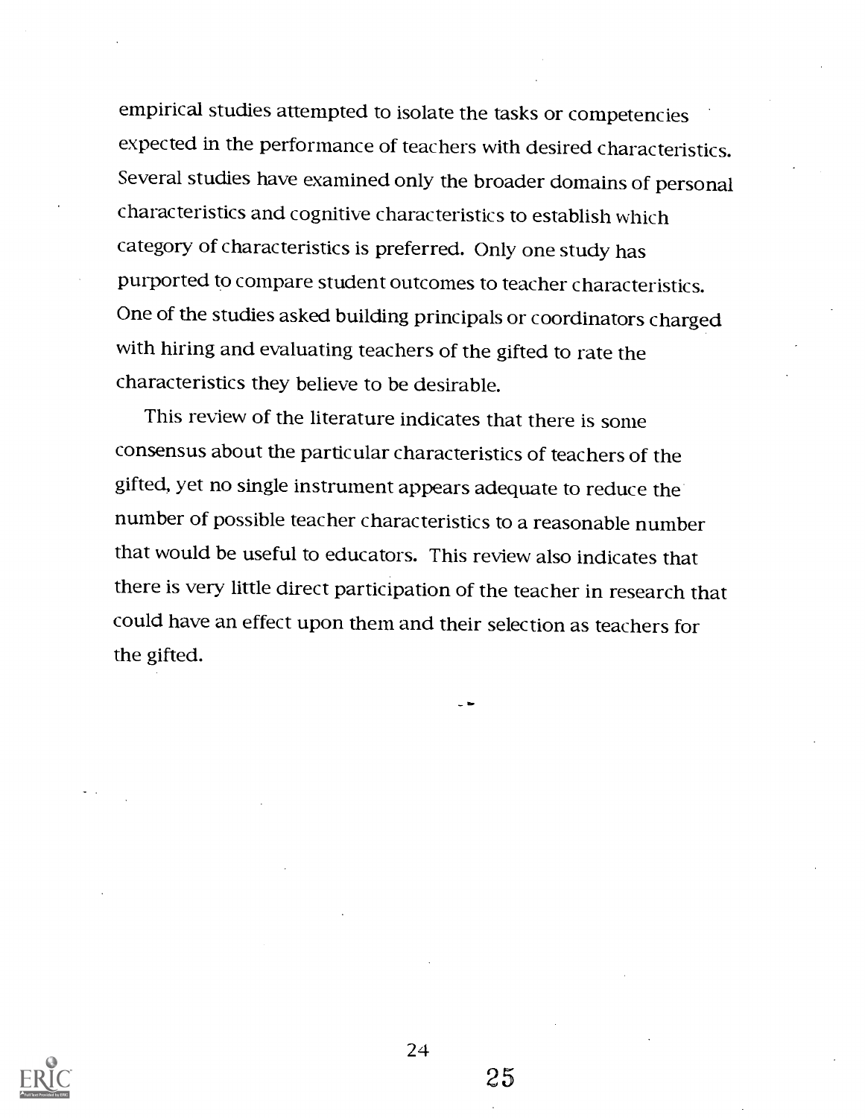empirical studies attempted to isolate the tasks or competencies expected in the performance of teachers with desired characteristics. Several studies have examined only the broader domains of personal characteristics and cognitive characteristics to establish which category of characteristics is preferred. Only one study has purported to compare student outcomes to teacher characteristics. One of the studies asked building principals or coordinators charged with hiring and evaluating teachers of the gifted to rate the characteristics they believe to be desirable.

This review of the literature indicates that there is some consensus about the particular characteristics of teachers of the gifted, yet no single instrument appears adequate to reduce the number of possible teacher characteristics to a reasonable number that would be useful to educators. This review also indicates that there is very little direct participation of the teacher in research that could have an effect upon them and their selection as teachers for the gifted.



24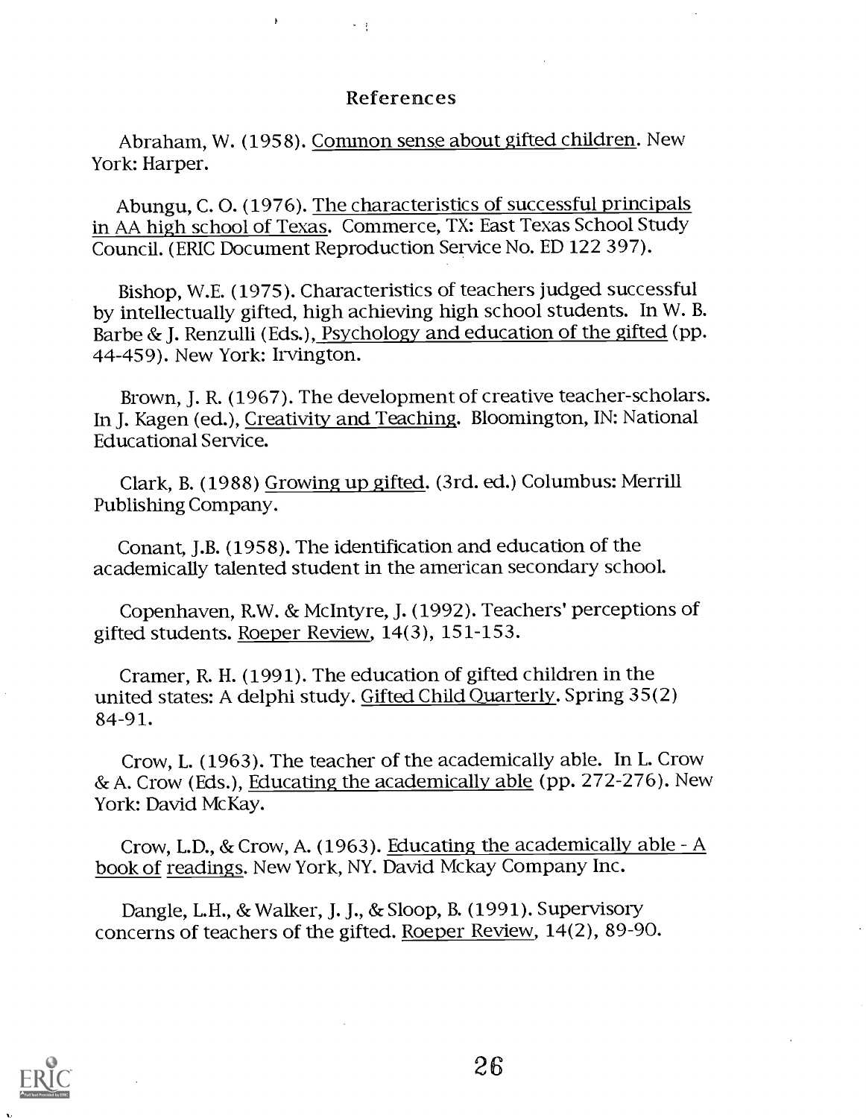#### References

Abraham, W. (1958). Common sense about gifted children. New York: Harper.

 $\sim 3$ 

 $\overline{b}$ 

Abungu, C. 0. (1976). The characteristics of successful principals in AA high school of Texas. Commerce, TX: East Texas School Study Council. (ERIC Document Reproduction Service No. ED 122 397).

Bishop, W.E. (1975). Characteristics of teachers judged successful by intellectually gifted, high achieving high school students. In W. B. Barbe & J. Renzulli (Eds.), Psychology and education of the gifted (pp. 44-459). New York: Irvington.

Brown, J. R. (1967). The development of creative teacher-scholars. In J. Kagen (ed.), Creativity and Teaching. Bloomington, IN: National Educational Service.

Clark, B. (1988) Growing up gifted. (3rd. ed.) Columbus: Merrill Publishing Company.

Conant, J.B. (1958). The identification and education of the academically talented student in the american secondary school.

Copenhaven, R.W. & McIntyre, J. (1992). Teachers' perceptions of gifted students. Roeper Review, 14(3), 151-153.

Cramer, R. H. (1991). The education of gifted children in the united states: A delphi study. Gifted Child Quarterly. Spring 35(2) 84-91.

Crow, L. (1963). The teacher of the academically able. In L. Crow &A. Crow (Eds.), Educating the academically able (pp. 272-276). New York: David McKay.

Crow, L.D., & Crow, A. (1963). Educating the academically able -  $A$ book of readings. New York, NY. David Mckay Company Inc.

Dangle, L.H., & Walker, J. J., & Sloop, B. (1991). Supervisory concerns of teachers of the gifted. Roeper Review, 14(2), 89-90.

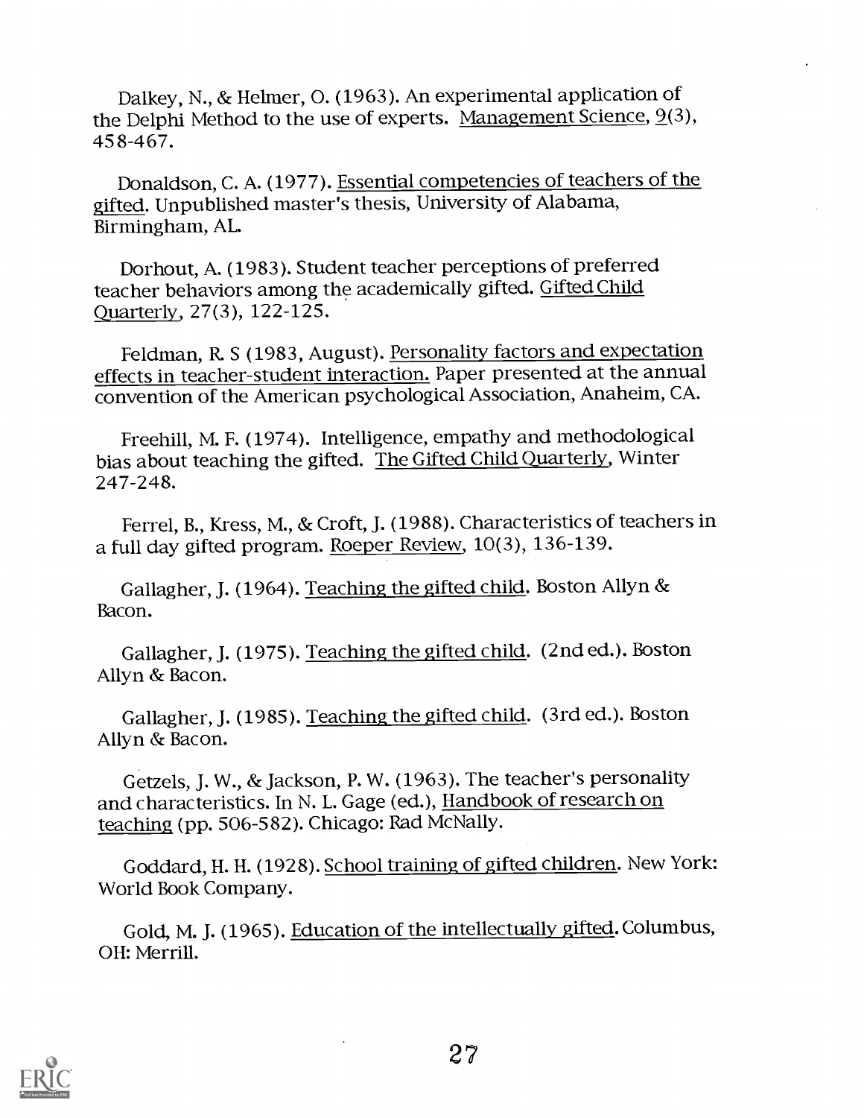Dalkey, N., & Helmer, 0. (1963). An experimental application of the Delphi Method to the use of experts. Management Science, 9(3), 458-467.

Donaldson, C. A. (1977). Essential competencies of teachers of the gifted. Unpublished master's thesis, University of Alabama, Birmingham, AL.

Dorhout, A. (1983). Student teacher perceptions of preferred teacher behaviors among the academically gifted. Gifted Child Quarterly, 27(3), 122-125.

Feldman, R. S (1983, August). Personality factors and expectation effects in teacher-student interaction. Paper presented at the annual convention of the American psychological Association, Anaheim, CA.

Freehill, M. F. (1974). Intelligence, empathy and methodological bias about teaching the gifted. The Gifted Child Quarterly, Winter 247-248.

Ferrel, B., Kress, M., & Croft, J. (1988). Characteristics of teachers in a full day gifted program. Roeper Review, 10(3), 136-139.

Gallagher, J. (1964). Teaching the gifted child. Boston Allyn & Bacon.

Gallagher, J. (1975). Teaching the gifted child. (2nd ed.). Boston Allyn & Bacon.

Gallagher, J. (1985). Teaching the gifted child. (3rd ed.). Boston Allyn & Bacon.

Getzels, J. W., & Jackson, P. W. (1963). The teacher's personality and characteristics. In N. L. Gage (ed.), Handbook of research on teaching (pp. 506-582). Chicago: Rad McNally.

Goddard, H. H. (1928). School training of gifted children. New York: World Book Company.

Gold, M. J. (1965). Education of the intellectually gifted. Columbus, OH: Merrill.

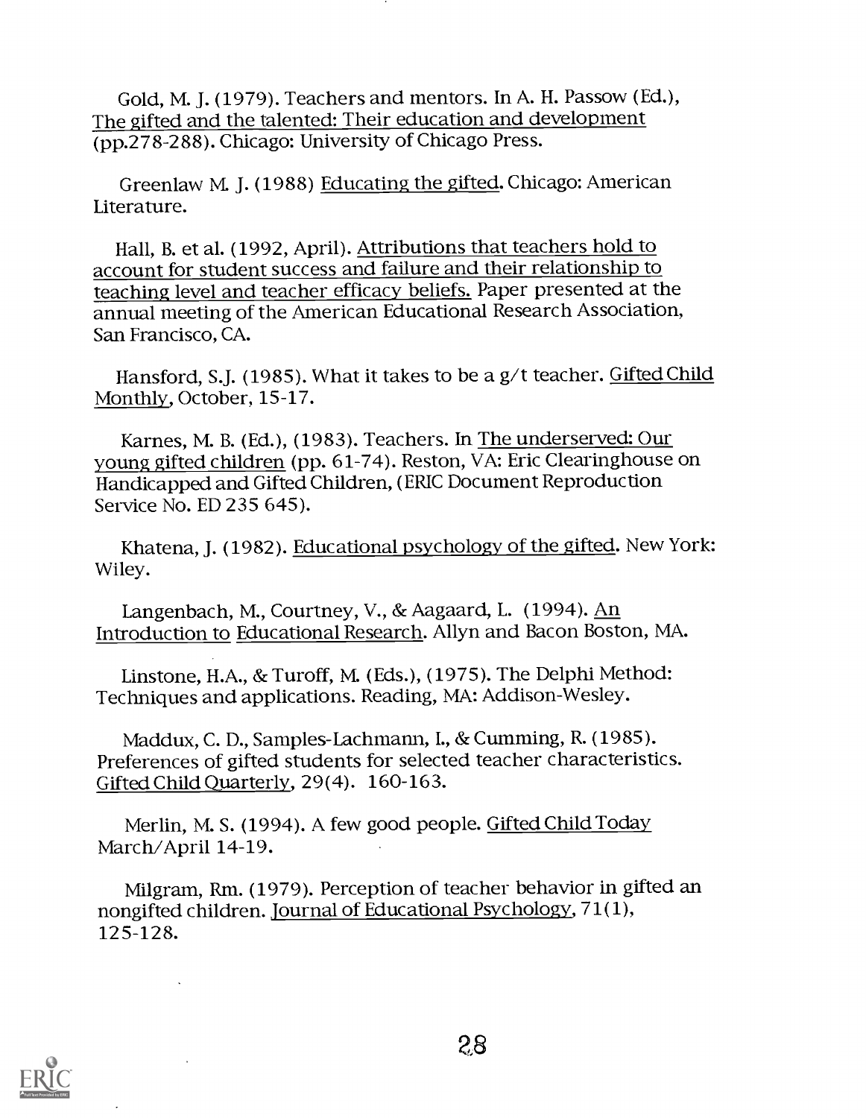Gold, M. J. (1979). Teachers and mentors. In A. H. Passow (Ed.), The gifted and the talented: Their education and development (pp.278-288). Chicago: University of Chicago Press.

Greenlaw M. J. (1988) Educating the gifted. Chicago: American Literature.

Hall, B. et al. (1992, April). Attributions that teachers hold to account for student success and failure and their relationship to teaching level and teacher efficacy beliefs. Paper presented at the annual meeting of the American Educational Research Association, San Francisco, CA.

Hansford, S.J. (1985). What it takes to be a g/t teacher. Gifted Child Monthly, October, 15-17.

Karnes, M. B. (Ed.), (1983). Teachers. In The underserved: Our young gifted children (pp. 61-74). Reston, VA: Eric Clearinghouse on Handicapped and Gifted Children, (ERIC Document Reproduction Service No. ED 235 645).

Khatena, J. (1982). Educational psychology of the gifted. New York: Wiley.

Langenbach, M., Courtney, V., & Aagaard, L. (1994). An Introduction to Educational Research. Allyn and Bacon Boston, MA.

Linstone, H.A., & Turoff, M. (Eds.), (1975). The Delphi Method: Techniques and applications. Reading, MA: Addison-Wesley.

Maddux, C. D., Samples-Lachmann, I., & Cumming, R. (1985). Preferences of gifted students for selected teacher characteristics. Gifted Child Quarterly, 29(4). 160-163.

Merlin, M. S. (1994). A few good people. Gifted Child Today March/April 14-19.

Milgram, Rm. (1979). Perception of teacher behavior in gifted an nongifted children. Journal of Educational Psychology, 71(1), 125-128.

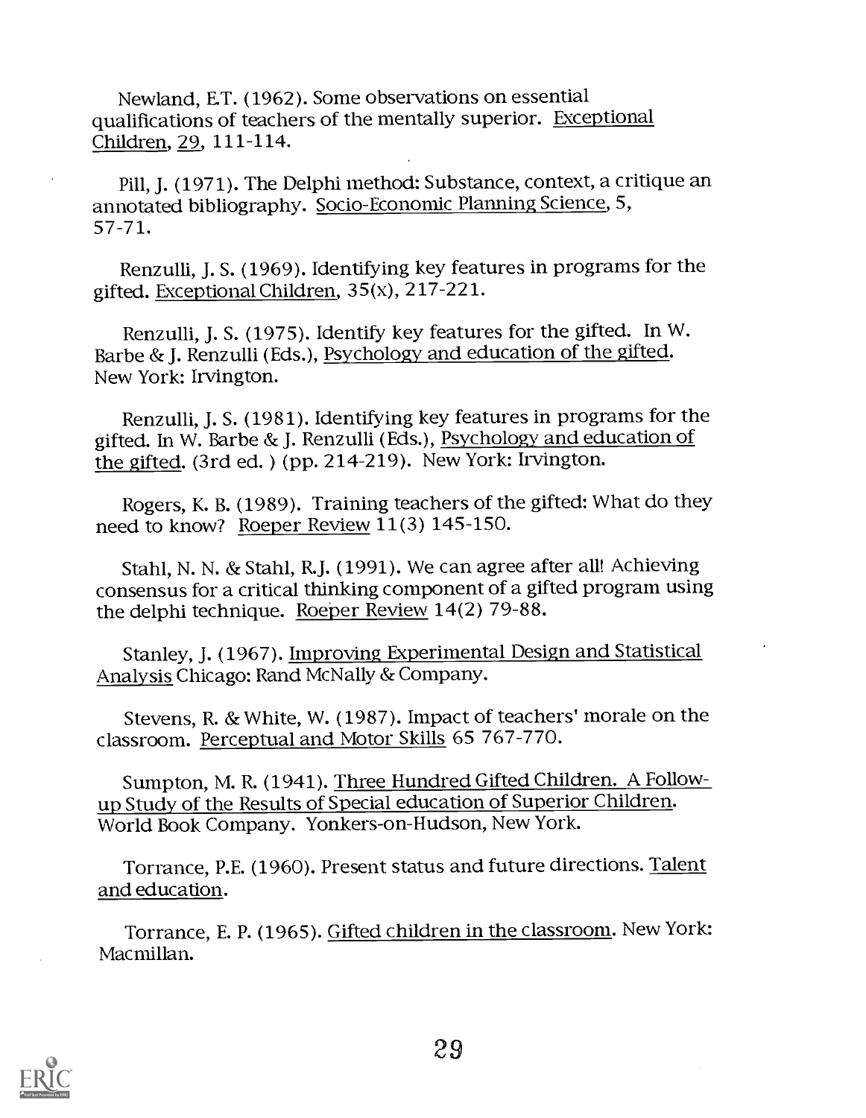Newland, E.T. (1962). Some observations on essential qualifications of teachers of the mentally superior. Exceptional Children, 29, 111-114.

Pill, J. (1971). The Delphi method: Substance, context, a critique an annotated bibliography. Socio-Economic Planning Science, 5, 57-71.

Renzulli, J. S. (1969). Identifying key features in programs for the gifted. Exceptional Children, 35(x), 217-221.

Renzulli, J. S. (1975). Identify key features for the gifted. In W. Barbe & J. Renzulli (Eds.), Psychology and education of the gifted. New York: Irvington.

Renzulli, J. S. (1981). Identifying key features in programs for the gifted. In W. Barbe & J. Renzulli (Eds.), Psychology and education of the gifted. (3rd ed. ) (pp. 214-219). New York: Irvington.

Rogers, K. B. (1989). Training teachers of the gifted: What do they need to know? Roeper Review 11(3) 145-150.

Stahl, N. N. & Stahl, R.J. (1991). We can agree after all! Achieving consensus for a critical thinking component of a gifted program using the delphi technique. Roeper Review 14(2) 79-88.

Stanley, J. (1967). Improving Experimental Design and Statistical Analysis Chicago: Rand McNally & Company.

Stevens, R. & White, W. (1987). Impact of teachers' morale on the classroom. Perceptual and Motor Skills 65 767-770.

Sumpton, M. R. (1941). Three Hundred Gifted Children. A Followup Study of the Results of Special education of Superior Children. World Book Company. Yonkers-on-Hudson, New York.

Torrance, P.E. (1960). Present status and future directions. Talent and education.

Torrance, E. P. (1965). Gifted children in the classroom. New York: Macmillan.

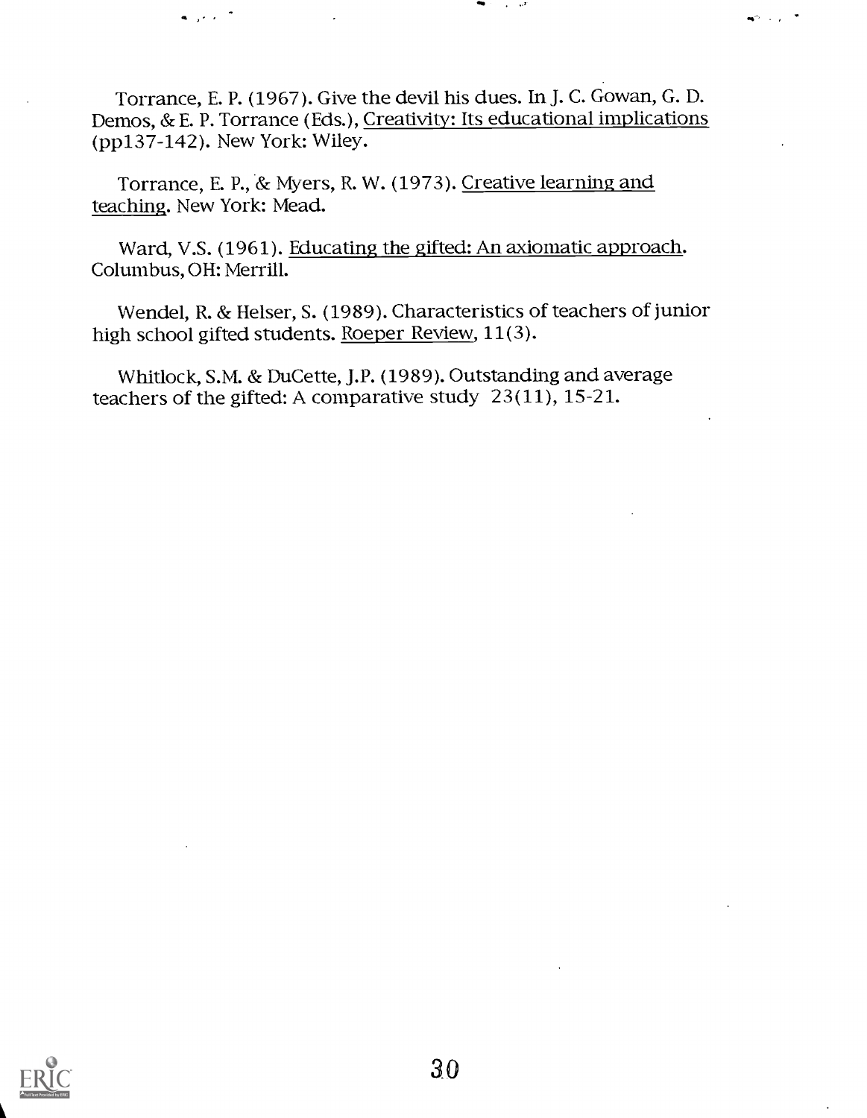Torrance, E. P. (1967). Give the devil his dues. In J. C. Gowan, G. D. Demos, & E. P. Torrance (Eds.), Creativity: Its educational implications (pp137-142). New York: Wiley.

Torrance, E. P., & Myers, R. W. (1973). Creative learning and teaching. New York: Mead.

Ward, V.S. (1961). Educating the gifted: An axiomatic approach. Columbus, OH: Merrill.

Wendel, R. & Helser, S. (1989). Characteristics of teachers of junior high school gifted students. Roeper Review, 11(3).

Whitlock, S.M. & DuCette, J.P. (1989). Outstanding and average teachers of the gifted: A comparative study 23(11), 15-21.

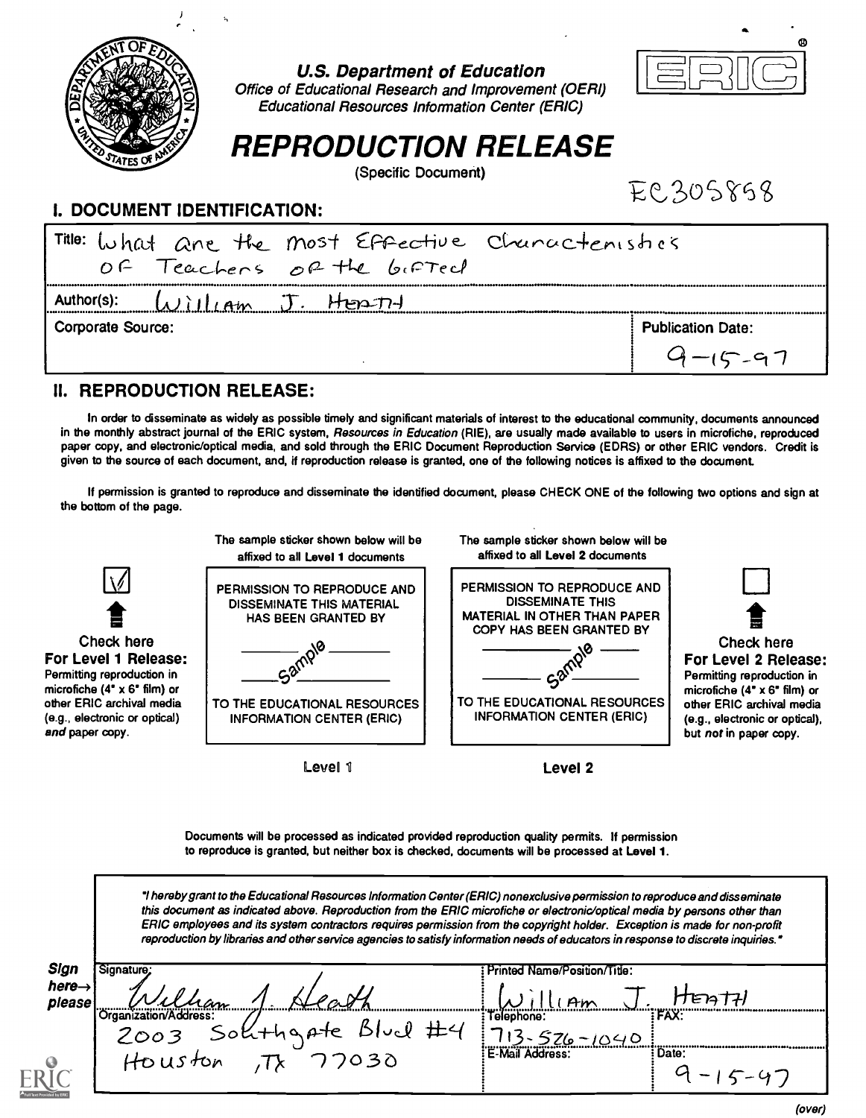

#### U.S. Department of Education



Office of Educational Research and Improvement (OERI) Educational Resources Information Center (ERIC)

# REPRODUCTION RELEASE

(Specific Document)

EC305858

### I. DOCUMENT IDENTIFICATION:

| Title: What are the most Effective Chunactenishes |                          |
|---------------------------------------------------|--------------------------|
| OF Teachers of the bifted                         |                          |
| Author(s):<br>J. HEATH<br>14                      |                          |
| Corporate Source:                                 | <b>Publication Date:</b> |
|                                                   |                          |

### II. REPRODUCTION RELEASE:

In order to disseminate as widely as possible timely and significant materials of interest to the educational community, documents announced in the monthly abstract journal of the ERIC system, Resources in Education (RIE), are usually made available to users in microfiche, reproduced paper copy, and electronic/optical media, and sold through the ERIC Document Reproduction Service (EDRS) or other ERIC vendors. Credit is given to the source of each document, and, if reproduction release is granted, one of the following notices is affixed to the document.

If permission is granted to reproduce and disseminate the identified document, please CHECK ONE of the following two options and sign at the bottom of the page.



Documents will be processed as indicated provided reproduction quality permits. If permission to reproduce is granted, but neither box is checked, documents will be processed at Level 1.

hereby grant to the Educational Resources Information Center (ERIC) nonexclusive permission to reproduce and disseminate this document as indicated above. Reproduction from the ERIC microfiche or electronic/optical media by persons other than ERIC employees and its system contractors requires permission from the copyright holder. Exception is made for non-profit reproduction by libraries and other service agencies to satisfy information needs of educators in response to discrete inquiries.\*

| here $\rightarrow$<br>∼<br>ำค<br>е<br>please<br><b>A</b> in<br><b>FAX:</b><br>'ation/Address<br>Felephone:<br>Sokthgate<br>ハンハット<br>2003<br>$46 - 1040$<br>E-Mail Address:<br>: Date:<br>1030 | Sign | Signature; | Printed Name/Position/Title: |  |
|-----------------------------------------------------------------------------------------------------------------------------------------------------------------------------------------------|------|------------|------------------------------|--|
|                                                                                                                                                                                               |      |            |                              |  |
|                                                                                                                                                                                               |      |            |                              |  |
|                                                                                                                                                                                               |      | HOUSTON    |                              |  |